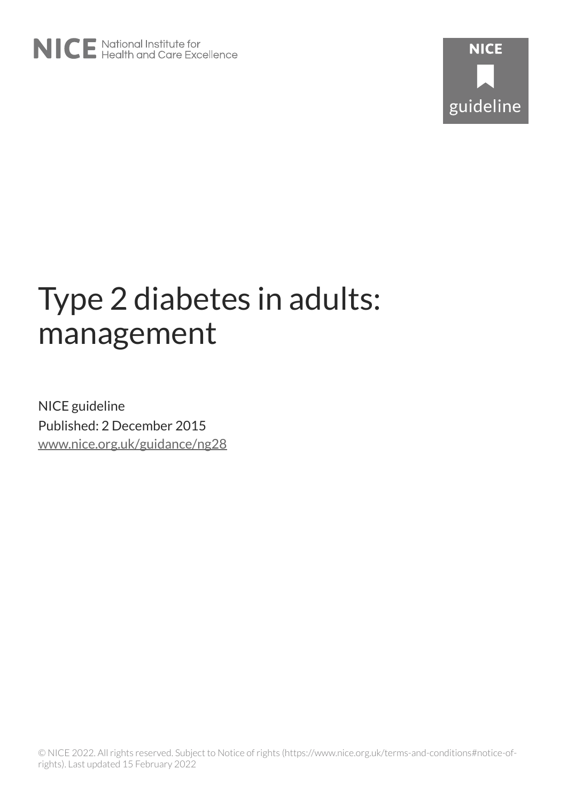# Type 2 diabetes in adults: management

NICE guideline Published: 2 December 2015 [www.nice.org.uk/guidance/ng28](https://www.nice.org.uk/guidance/ng28)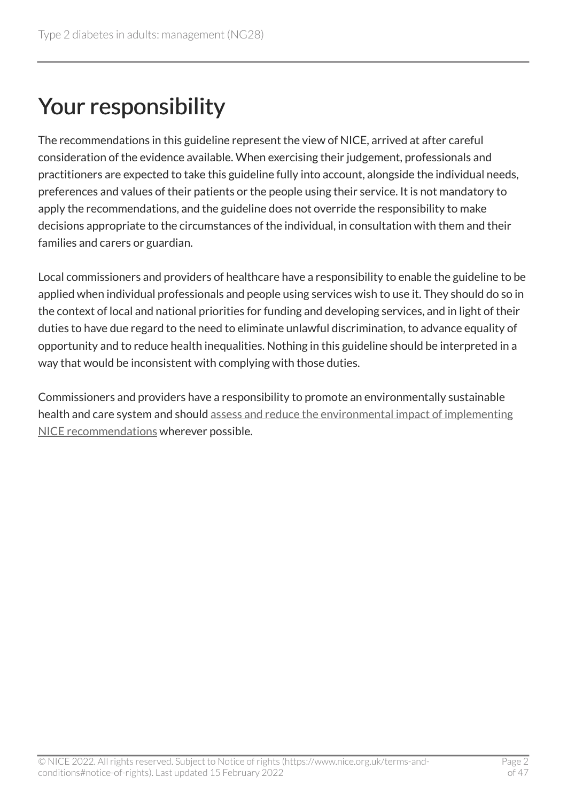# Your responsibility

The recommendations in this guideline represent the view of NICE, arrived at after careful consideration of the evidence available. When exercising their judgement, professionals and practitioners are expected to take this guideline fully into account, alongside the individual needs, preferences and values of their patients or the people using their service. It is not mandatory to apply the recommendations, and the guideline does not override the responsibility to make decisions appropriate to the circumstances of the individual, in consultation with them and their families and carers or guardian.

Local commissioners and providers of healthcare have a responsibility to enable the guideline to be applied when individual professionals and people using services wish to use it. They should do so in the context of local and national priorities for funding and developing services, and in light of their duties to have due regard to the need to eliminate unlawful discrimination, to advance equality of opportunity and to reduce health inequalities. Nothing in this guideline should be interpreted in a way that would be inconsistent with complying with those duties.

Commissioners and providers have a responsibility to promote an environmentally sustainable health and care system and should [assess and reduce the environmental impact of implementing](https://www.nice.org.uk/about/who-we-are/sustainability)  [NICE recommendations](https://www.nice.org.uk/about/who-we-are/sustainability) wherever possible.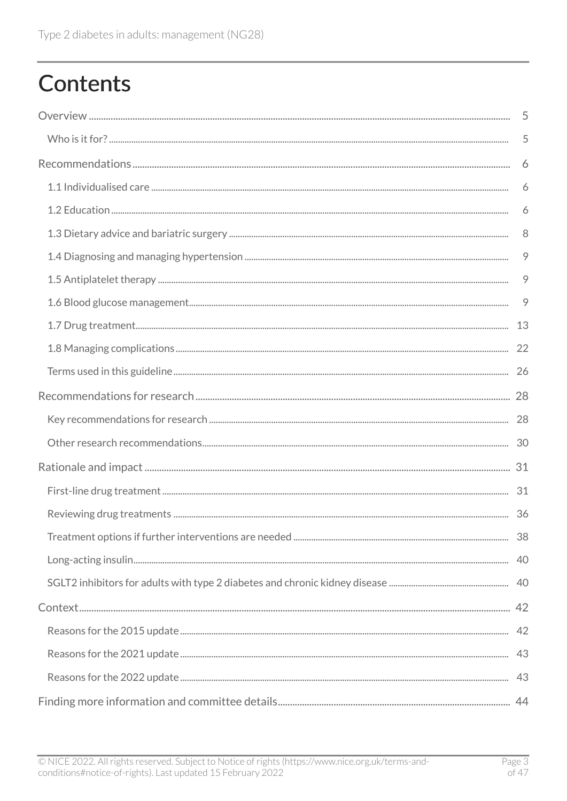# **Contents**

| 5       |
|---------|
| 5       |
| 6       |
| 6       |
| 6       |
| 8       |
| $\circ$ |
| 9       |
| 9       |
|         |
|         |
|         |
|         |
|         |
|         |
|         |
|         |
|         |
|         |
|         |
|         |
|         |
|         |
|         |
|         |
|         |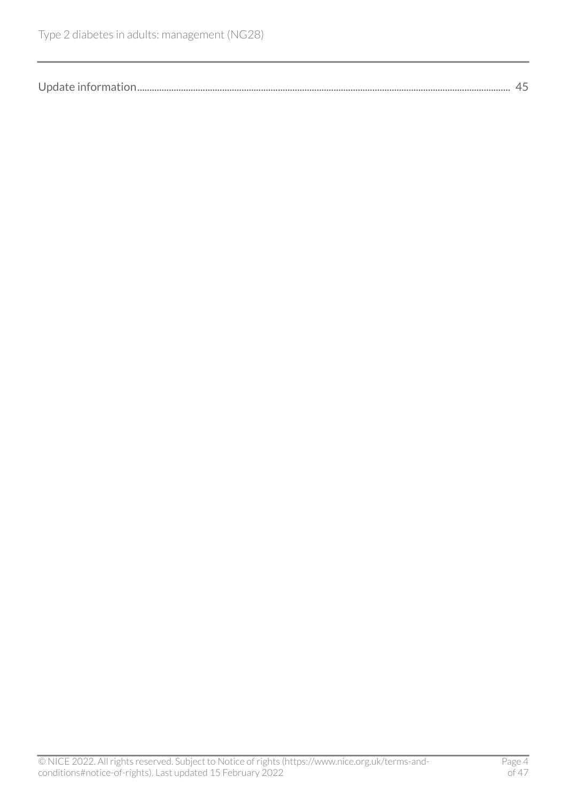| Update information. |
|---------------------|
|---------------------|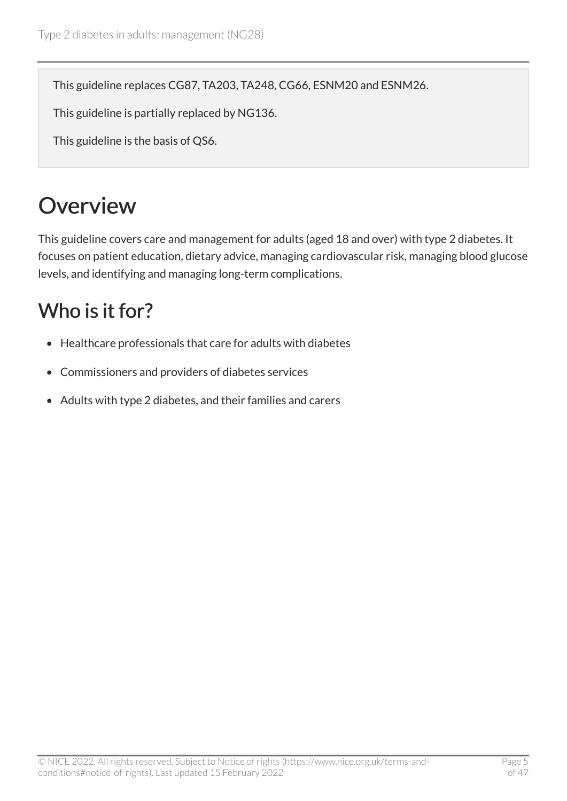This guideline replaces CG87, TA203, TA248, CG66, ESNM20 and ESNM26.

This guideline is partially replaced by NG136.

This guideline is the basis of QS6.

# <span id="page-4-0"></span>**Overview**

This guideline covers care and management for adults (aged 18 and over) with type 2 diabetes. It focuses on patient education, dietary advice, managing cardiovascular risk, managing blood glucose levels, and identifying and managing long-term complications.

## <span id="page-4-1"></span>Who is it for?

- Healthcare professionals that care for adults with diabetes
- Commissioners and providers of diabetes services
- Adults with type 2 diabetes, and their families and carers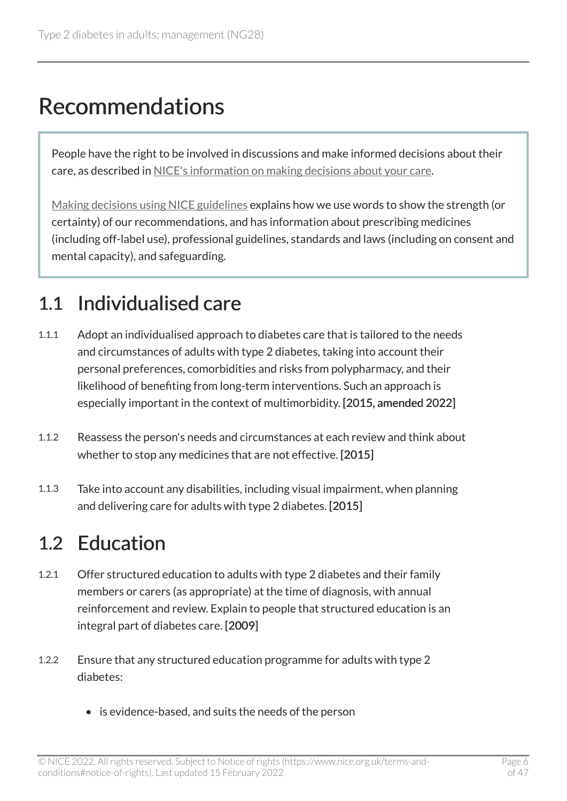# <span id="page-5-0"></span>Recommendations

People have the right to be involved in discussions and make informed decisions about their care, as described in [NICE's information on making decisions about your care](https://www.nice.org.uk/about/nice-communities/nice-and-the-public/making-decisions-about-your-care).

[Making decisions using NICE guidelines](http://www.nice.org.uk/about/what-we-do/our-programmes/nice-guidance/nice-guidelines/using-NICE-guidelines-to-make-decisions) explains how we use words to show the strength (or certainty) of our recommendations, and has information about prescribing medicines (including off-label use), professional guidelines, standards and laws (including on consent and mental capacity), and safeguarding.

## <span id="page-5-1"></span>1.1 Individualised care

- 1.1.1 Adopt an individualised approach to diabetes care that is tailored to the needs and circumstances of adults with type 2 diabetes, taking into account their personal preferences, comorbidities and risks from polypharmacy, and their likelihood of benefiting from long-term interventions. Such an approach is especially important in the context of multimorbidity. [2015, amended 2022]
- 1.1.2 Reassess the person's needs and circumstances at each review and think about whether to stop any medicines that are not effective. [2015]
- 1.1.3 Take into account any disabilities, including visual impairment, when planning and delivering care for adults with type 2 diabetes. [2015]

## <span id="page-5-2"></span>1.2 Education

- 1.2.1 Offer structured education to adults with type 2 diabetes and their family members or carers (as appropriate) at the time of diagnosis, with annual reinforcement and review. Explain to people that structured education is an integral part of diabetes care. [2009]
- 1.2.2 Ensure that any structured education programme for adults with type 2 diabetes:
	- is evidence-based, and suits the needs of the person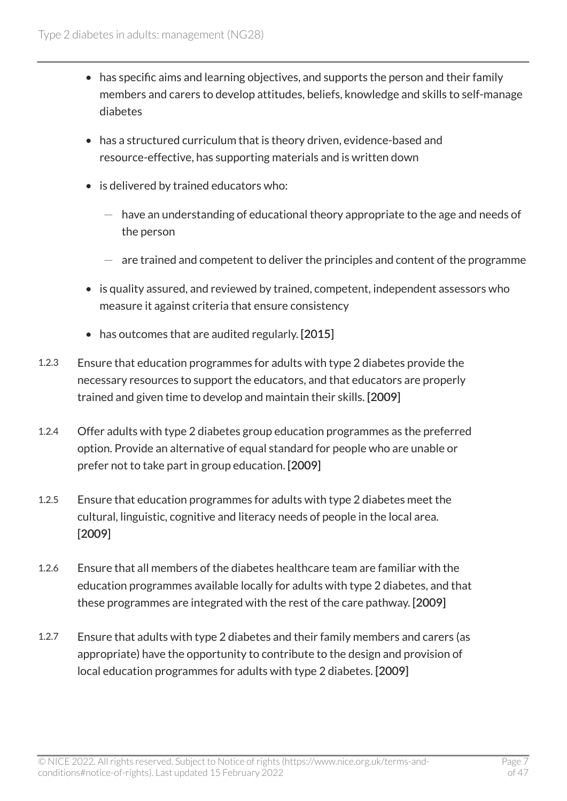- has specific aims and learning objectives, and supports the person and their family members and carers to develop attitudes, beliefs, knowledge and skills to self-manage diabetes
- has a structured curriculum that is theory driven, evidence-based and resource-effective, has supporting materials and is written down
- is delivered by trained educators who:
	- $-$  have an understanding of educational theory appropriate to the age and needs of the person
	- $-$  are trained and competent to deliver the principles and content of the programme
- is quality assured, and reviewed by trained, competent, independent assessors who measure it against criteria that ensure consistency
- has outcomes that are audited regularly. [2015]
- 1.2.3 Ensure that education programmes for adults with type 2 diabetes provide the necessary resources to support the educators, and that educators are properly trained and given time to develop and maintain their skills. [2009]
- 1.2.4 Offer adults with type 2 diabetes group education programmes as the preferred option. Provide an alternative of equal standard for people who are unable or prefer not to take part in group education. [2009]
- 1.2.5 Ensure that education programmes for adults with type 2 diabetes meet the cultural, linguistic, cognitive and literacy needs of people in the local area. [2009]
- 1.2.6 Ensure that all members of the diabetes healthcare team are familiar with the education programmes available locally for adults with type 2 diabetes, and that these programmes are integrated with the rest of the care pathway. [2009]
- 1.2.7 Ensure that adults with type 2 diabetes and their family members and carers (as appropriate) have the opportunity to contribute to the design and provision of local education programmes for adults with type 2 diabetes. [2009]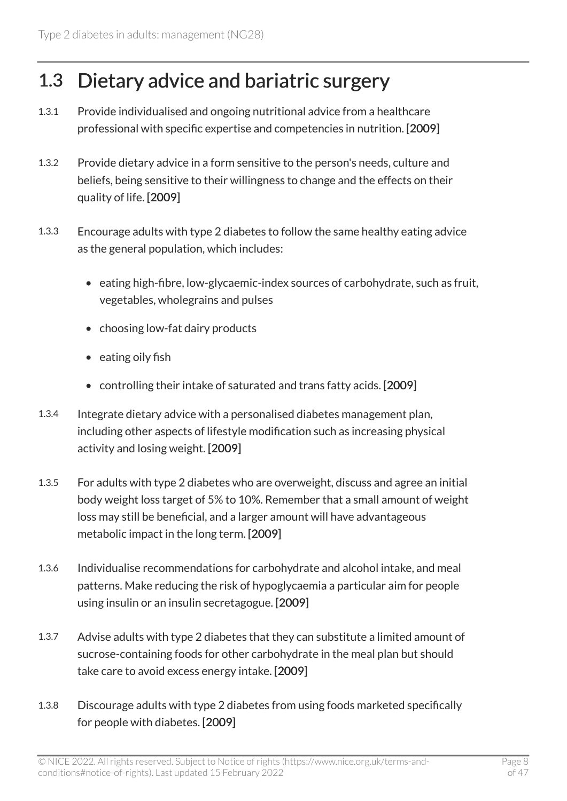## <span id="page-7-0"></span>1.3 Dietary advice and bariatric surgery

- 1.3.1 Provide individualised and ongoing nutritional advice from a healthcare professional with specific expertise and competencies in nutrition. [2009]
- 1.3.2 Provide dietary advice in a form sensitive to the person's needs, culture and beliefs, being sensitive to their willingness to change and the effects on their quality of life. [2009]
- 1.3.3 Encourage adults with type 2 diabetes to follow the same healthy eating advice as the general population, which includes:
	- eating high-fibre, low-glycaemic-index sources of carbohydrate, such as fruit, vegetables, wholegrains and pulses
	- choosing low-fat dairy products
	- eating oily fish
	- controlling their intake of saturated and trans fatty acids. [2009]
- 1.3.4 Integrate dietary advice with a personalised diabetes management plan, including other aspects of lifestyle modification such as increasing physical activity and losing weight. [2009]
- 1.3.5 For adults with type 2 diabetes who are overweight, discuss and agree an initial body weight loss target of 5% to 10%. Remember that a small amount of weight loss may still be beneficial, and a larger amount will have advantageous metabolic impact in the long term. [2009]
- 1.3.6 Individualise recommendations for carbohydrate and alcohol intake, and meal patterns. Make reducing the risk of hypoglycaemia a particular aim for people using insulin or an insulin secretagogue. [2009]
- 1.3.7 Advise adults with type 2 diabetes that they can substitute a limited amount of sucrose-containing foods for other carbohydrate in the meal plan but should take care to avoid excess energy intake. [2009]
- 1.3.8 Discourage adults with type 2 diabetes from using foods marketed specifically for people with diabetes. [2009]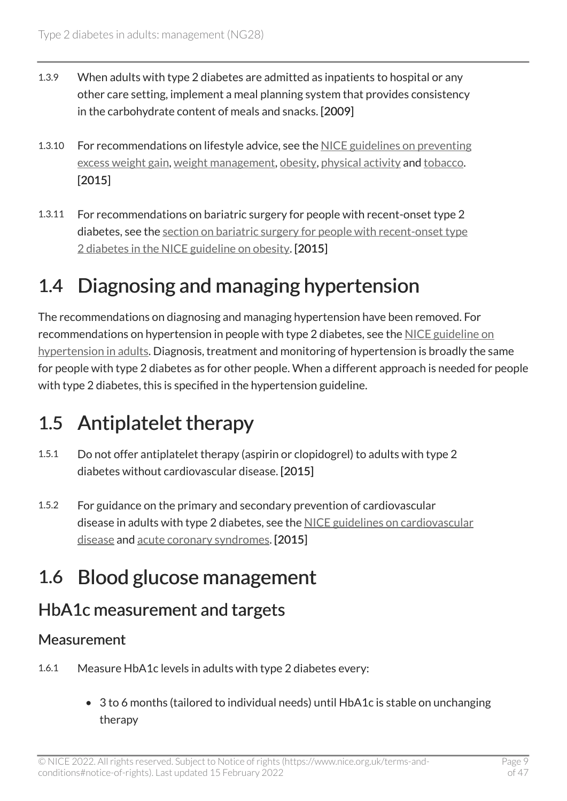- 1.3.9 When adults with type 2 diabetes are admitted as inpatients to hospital or any other care setting, implement a meal planning system that provides consistency in the carbohydrate content of meals and snacks. [2009]
- 1.3.10 For recommendations on lifestyle advice, see the [NICE guidelines on preventing](https://www.nice.org.uk/guidance/ng7) [excess weight gain,](https://www.nice.org.uk/guidance/ng7) [weight management](https://www.nice.org.uk/guidance/ph53), [obesity](https://www.nice.org.uk/guidance/cg189), [physical activity](https://www.nice.org.uk/guidance/ph44) and [tobacco.](https://www.nice.org.uk/guidance/ng209) [2015]
- 1.3.11 For recommendations on bariatric surgery for people with recent-onset type 2 diabetes, see the [section on bariatric surgery for people with recent-onset type](https://www.nice.org.uk/guidance/cg189/chapter/1-recommendations#bariatric-surgery-for-people-with-recent-onset-type-2-diabetes) [2 diabetes in the NICE guideline on obesity](https://www.nice.org.uk/guidance/cg189/chapter/1-recommendations#bariatric-surgery-for-people-with-recent-onset-type-2-diabetes). [2015]

## <span id="page-8-0"></span>1.4 Diagnosing and managing hypertension

The recommendations on diagnosing and managing hypertension have been removed. For recommendations on hypertension in people with type 2 diabetes, see the [NICE guideline on](https://www.nice.org.uk/guidance/ng136)  [hypertension in adults](https://www.nice.org.uk/guidance/ng136). Diagnosis, treatment and monitoring of hypertension is broadly the same for people with type 2 diabetes as for other people. When a different approach is needed for people with type 2 diabetes, this is specified in the hypertension guideline.

## <span id="page-8-1"></span>1.5 Antiplatelet therapy

- 1.5.1 Do not offer antiplatelet therapy (aspirin or clopidogrel) to adults with type 2 diabetes without cardiovascular disease. [2015]
- 1.5.2 For guidance on the primary and secondary prevention of cardiovascular disease in adults with type 2 diabetes, see the [NICE guidelines on cardiovascular](https://www.nice.org.uk/guidance/cg181) [disease](https://www.nice.org.uk/guidance/cg181) and [acute coronary syndromes](https://www.nice.org.uk/guidance/ng185). [2015]

## <span id="page-8-2"></span>1.6 Blood glucose management

### HbA1c measurement and targets

#### **Measurement**

- 1.6.1 Measure HbA1c levels in adults with type 2 diabetes every:
	- 3 to 6 months (tailored to individual needs) until HbA1c is stable on unchanging therapy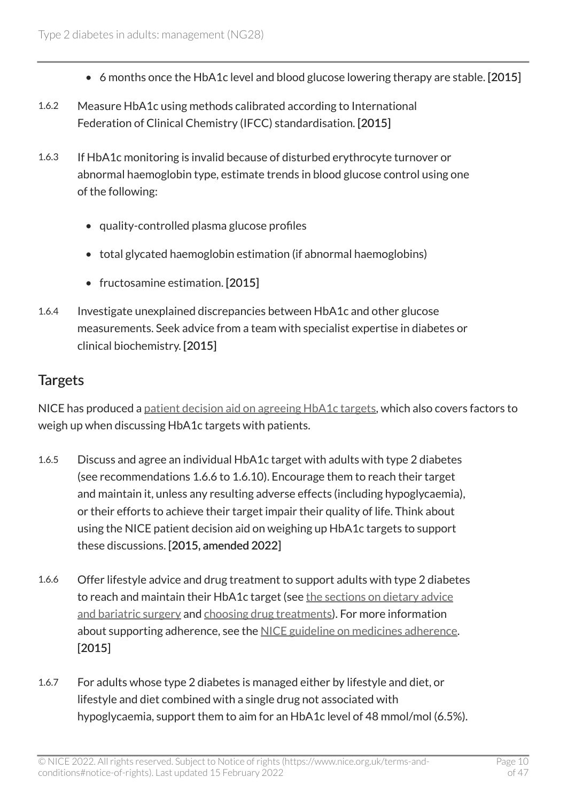- 6 months once the HbA1c level and blood glucose lowering therapy are stable. [2015]
- 1.6.2 Measure HbA1c using methods calibrated according to International Federation of Clinical Chemistry (IFCC) standardisation. [2015]
- 1.6.3 If HbA1c monitoring is invalid because of disturbed erythrocyte turnover or abnormal haemoglobin type, estimate trends in blood glucose control using one of the following:
	- quality-controlled plasma glucose profiles
	- total glycated haemoglobin estimation (if abnormal haemoglobins)
	- fructosamine estimation. [2015]
- 1.6.4 Investigate unexplained discrepancies between HbA1c and other glucose measurements. Seek advice from a team with specialist expertise in diabetes or clinical biochemistry. [2015]

#### **Targets**

NICE has produced a [patient decision aid on agreeing HbA1c targets,](https://www.nice.org.uk/guidance/ng28/resources/patient-decision-aid-pdf-2187281199) which also covers factors to weigh up when discussing HbA1c targets with patients.

- 1.6.5 Discuss and agree an individual HbA1c target with adults with type 2 diabetes (see recommendations 1.6.6 to 1.6.10). Encourage them to reach their target and maintain it, unless any resulting adverse effects (including hypoglycaemia), or their efforts to achieve their target impair their quality of life. Think about using the NICE patient decision aid on weighing up HbA1c targets to support these discussions. [2015, amended 2022]
- 1.6.6 Offer lifestyle advice and drug treatment to support adults with type 2 diabetes to reach and maintain their HbA1c target (see [the sections on dietary advice](#page-7-0) [and bariatric surgery](#page-7-0) and [choosing drug treatments\)](#page-12-1). For more information about supporting adherence, see the [NICE guideline on medicines adherence](https://www.nice.org.uk/guidance/cg76). [2015]
- 1.6.7 For adults whose type 2 diabetes is managed either by lifestyle and diet, or lifestyle and diet combined with a single drug not associated with hypoglycaemia, support them to aim for an HbA1c level of 48 mmol/mol (6.5%).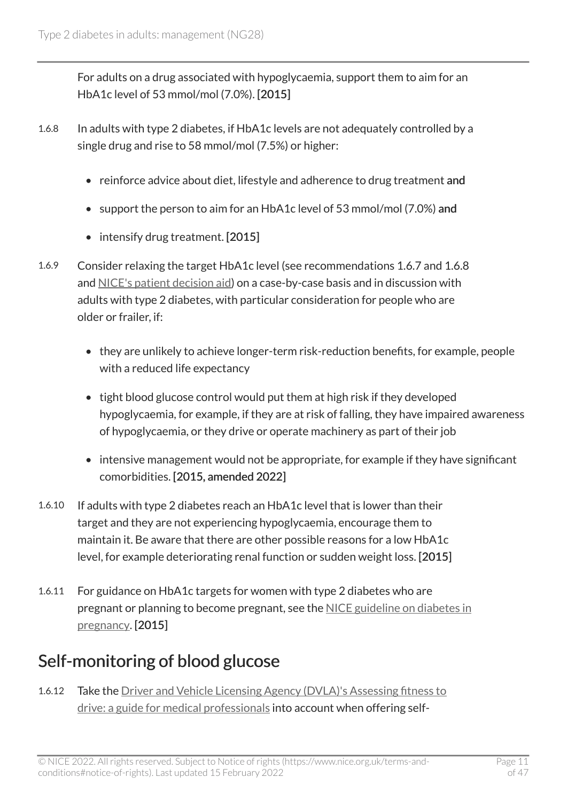For adults on a drug associated with hypoglycaemia, support them to aim for an HbA1c level of 53 mmol/mol (7.0%). [2015]

- 1.6.8 In adults with type 2 diabetes, if HbA1c levels are not adequately controlled by a single drug and rise to 58 mmol/mol (7.5%) or higher:
	- reinforce advice about diet, lifestyle and adherence to drug treatment and
	- support the person to aim for an HbA1c level of 53 mmol/mol (7.0%) and
	- intensify drug treatment. [2015]
- 1.6.9 Consider relaxing the target HbA1c level (see recommendations 1.6.7 and 1.6.8 and [NICE's patient decision aid\)](https://www.nice.org.uk/guidance/ng28/resources/patient-decision-aid-pdf-2187281199) on a case-by-case basis and in discussion with adults with type 2 diabetes, with particular consideration for people who are older or frailer, if:
	- they are unlikely to achieve longer-term risk-reduction benefits, for example, people with a reduced life expectancy
	- tight blood glucose control would put them at high risk if they developed hypoglycaemia, for example, if they are at risk of falling, they have impaired awareness of hypoglycaemia, or they drive or operate machinery as part of their job
	- intensive management would not be appropriate, for example if they have significant comorbidities. [2015, amended 2022]
- 1.6.10 If adults with type 2 diabetes reach an HbA1c level that is lower than their target and they are not experiencing hypoglycaemia, encourage them to maintain it. Be aware that there are other possible reasons for a low HbA1c level, for example deteriorating renal function or sudden weight loss. [2015]
- 1.6.11 For guidance on HbA1c targets for women with type 2 diabetes who are pregnant or planning to become pregnant, see the [NICE guideline on diabetes in](https://www.nice.org.uk/guidance/ng3) [pregnancy](https://www.nice.org.uk/guidance/ng3). [2015]

## Self-monitoring of blood glucose

1.6.12 Take the Driver and Vehicle Licensing Agency (DVLA)'s Assessing fitness to [drive: a guide for medical professionals](http://www.gov.uk/government/publications/at-a-glance) into account when offering self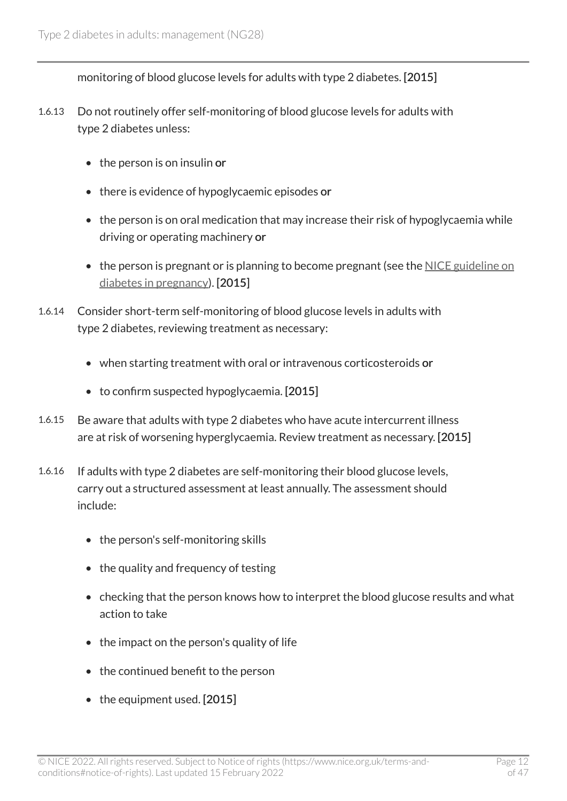monitoring of blood glucose levels for adults with type 2 diabetes. [2015]

- 1.6.13 Do not routinely offer self-monitoring of blood glucose levels for adults with type 2 diabetes unless:
	- the person is on insulin or
	- there is evidence of hypoglycaemic episodes or
	- the person is on oral medication that may increase their risk of hypoglycaemia while driving or operating machinery or
	- the person is pregnant or is planning to become pregnant (see the [NICE guideline on](https://www.nice.org.uk/guidance/ng3) [diabetes in pregnancy\)](https://www.nice.org.uk/guidance/ng3). [2015]
- 1.6.14 Consider short-term self-monitoring of blood glucose levels in adults with type 2 diabetes, reviewing treatment as necessary:
	- when starting treatment with oral or intravenous corticosteroids or
	- to confirm suspected hypoglycaemia. [2015]
- 1.6.15 Be aware that adults with type 2 diabetes who have acute intercurrent illness are at risk of worsening hyperglycaemia. Review treatment as necessary. [2015]
- 1.6.16 If adults with type 2 diabetes are self-monitoring their blood glucose levels, carry out a structured assessment at least annually. The assessment should include:
	- the person's self-monitoring skills
	- the quality and frequency of testing
	- checking that the person knows how to interpret the blood glucose results and what action to take
	- the impact on the person's quality of life
	- the continued benefit to the person
	- the equipment used. [2015]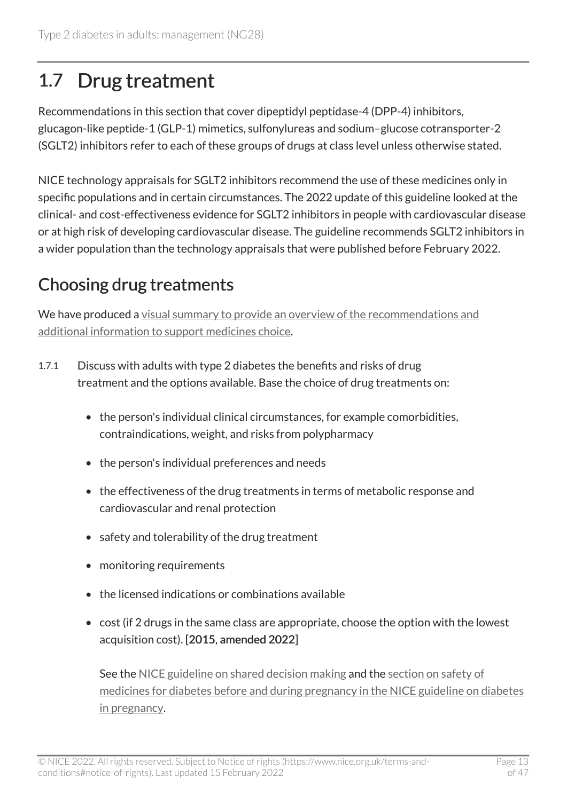## <span id="page-12-0"></span>1.7 Drug treatment

Recommendations in this section that cover dipeptidyl peptidase-4 (DPP-4) inhibitors, glucagon-like peptide-1 (GLP-1) mimetics, sulfonylureas and sodium–glucose cotransporter-2 (SGLT2) inhibitors refer to each of these groups of drugs at class level unless otherwise stated.

NICE technology appraisals for SGLT2 inhibitors recommend the use of these medicines only in specific populations and in certain circumstances. The 2022 update of this guideline looked at the clinical- and cost-effectiveness evidence for SGLT2 inhibitors in people with cardiovascular disease or at high risk of developing cardiovascular disease. The guideline recommends SGLT2 inhibitors in a wider population than the technology appraisals that were published before February 2022.

## <span id="page-12-1"></span>Choosing drug treatments

We have produced a [visual summary to provide an overview of the recommendations and](https://www.nice.org.uk/guidance/ng28/resources/visual-summary-pdf-10956472093) [additional information to support medicines choice](https://www.nice.org.uk/guidance/ng28/resources/visual-summary-pdf-10956472093).

- 1.7.1 Discuss with adults with type 2 diabetes the benefits and risks of drug treatment and the options available. Base the choice of drug treatments on:
	- the person's individual clinical circumstances, for example comorbidities, contraindications, weight, and risks from polypharmacy
	- the person's individual preferences and needs
	- the effectiveness of the drug treatments in terms of metabolic response and cardiovascular and renal protection
	- safety and tolerability of the drug treatment
	- monitoring requirements
	- the licensed indications or combinations available
	- cost (if 2 drugs in the same class are appropriate, choose the option with the lowest acquisition cost). [2015, amended 2022]

See the [NICE guideline on shared decision making](https://www.nice.org.uk/guidance/ng197) and the [section on safety of](https://www.nice.org.uk/guidance/ng3/chapter/recommendations#safety-of-medicines-for-diabetes-before-and-during-pregnancy)  [medicines for diabetes before and during pregnancy in the NICE guideline on diabetes](https://www.nice.org.uk/guidance/ng3/chapter/recommendations#safety-of-medicines-for-diabetes-before-and-during-pregnancy) [in pregnancy.](https://www.nice.org.uk/guidance/ng3/chapter/recommendations#safety-of-medicines-for-diabetes-before-and-during-pregnancy)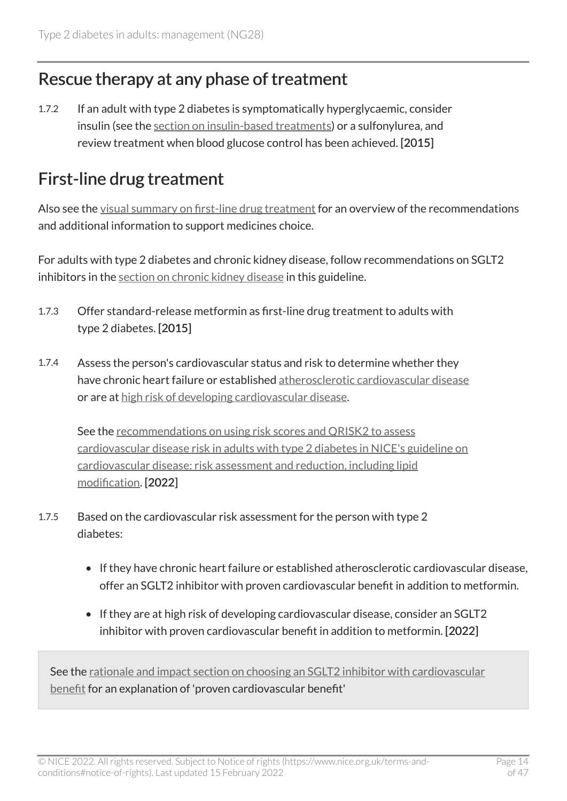#### Rescue therapy at any phase of treatment

1.7.2 If an adult with type 2 diabetes is symptomatically hyperglycaemic, consider insulin (see the [section on insulin-based treatments\)](#page-19-0) or a sulfonylurea, and review treatment when blood glucose control has been achieved. [2015]

#### <span id="page-13-0"></span>First-line drug treatment

Also see the [visual summary on first-line drug treatment](https://www.nice.org.uk/guidance/ng28/resources/visual-summary-pdf-10956472093) for an overview of the recommendations and additional information to support medicines choice.

For adults with type 2 diabetes and chronic kidney disease, follow recommendations on SGLT2 inhibitors in the [section on chronic kidney disease](#page-23-0) in this guideline.

- 1.7.3 Offer standard-release metformin as first-line drug treatment to adults with type 2 diabetes. [2015]
- 1.7.4 Assess the person's cardiovascular status and risk to determine whether they have chronic heart failure or established [atherosclerotic cardiovascular disease](#page-25-1)  or are at [high risk of developing cardiovascular disease](#page-26-0).

See the [recommendations on using risk scores and QRISK2 to assess](https://www.nice.org.uk/guidance/cg181/chapter/recommendations) [cardiovascular disease risk in adults with type](https://www.nice.org.uk/guidance/cg181/chapter/recommendations) 2 diabetes in NICE's guideline on [cardiovascular disease: risk assessment and reduction, including lipid](https://www.nice.org.uk/guidance/cg181/chapter/recommendations)  [modification.](https://www.nice.org.uk/guidance/cg181/chapter/recommendations) [2022]

- 1.7.5 Based on the cardiovascular risk assessment for the person with type 2 diabetes:
	- If they have chronic heart failure or established atherosclerotic cardiovascular disease, offer an SGLT2 inhibitor with proven cardiovascular benefit in addition to metformin.
	- If they are at high risk of developing cardiovascular disease, consider an SGLT2 inhibitor with proven cardiovascular benefit in addition to metformin. [2022]

See the [rationale and impact section on choosing an SGLT2 inhibitor with cardiovascular](#page-31-0) [benefit](#page-31-0) for an explanation of 'proven cardiovascular benefit'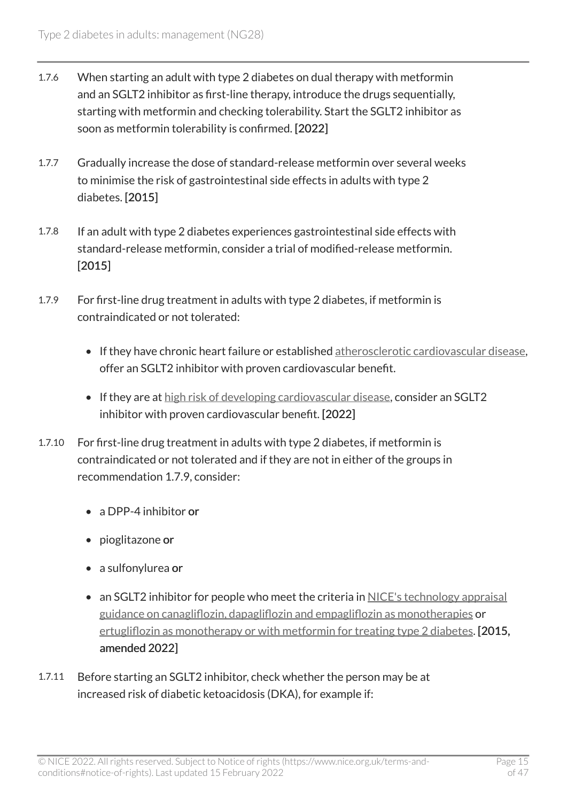- 1.7.6 When starting an adult with type 2 diabetes on dual therapy with metformin and an SGLT2 inhibitor as first-line therapy, introduce the drugs sequentially, starting with metformin and checking tolerability. Start the SGLT2 inhibitor as soon as metformin tolerability is confirmed. [2022]
- 1.7.7 Gradually increase the dose of standard-release metformin over several weeks to minimise the risk of gastrointestinal side effects in adults with type 2 diabetes. [2015]
- 1.7.8 If an adult with type 2 diabetes experiences gastrointestinal side effects with standard-release metformin, consider a trial of modified-release metformin. [2015]
- 1.7.9 For first-line drug treatment in adults with type 2 diabetes, if metformin is contraindicated or not tolerated:
	- If they have chronic heart failure or established [atherosclerotic cardiovascular disease,](#page-25-1) offer an SGLT2 inhibitor with proven cardiovascular benefit.
	- If they are at [high risk of developing cardiovascular disease,](#page-26-0) consider an SGLT2 inhibitor with proven cardiovascular benefit. [2022]
- 1.7.10 For first-line drug treatment in adults with type 2 diabetes, if metformin is contraindicated or not tolerated and if they are not in either of the groups in recommendation 1.7.9, consider:
	- a DPP-4 inhibitor or
	- pioglitazone or
	- a sulfonylurea or
	- an SGLT2 inhibitor for people who meet the criteria in NICE's technology appraisal [guidance on canagliflozin, dapagliflozin and empagliflozin as monotherapies](https://www.nice.org.uk/guidance/ta390) or [ertugliflozin as monotherapy or with metformin for treating type 2 diabetes.](https://www.nice.org.uk/guidance/ta572) [2015, amended 2022]
- 1.7.11 Before starting an SGLT2 inhibitor, check whether the person may be at increased risk of diabetic ketoacidosis (DKA), for example if: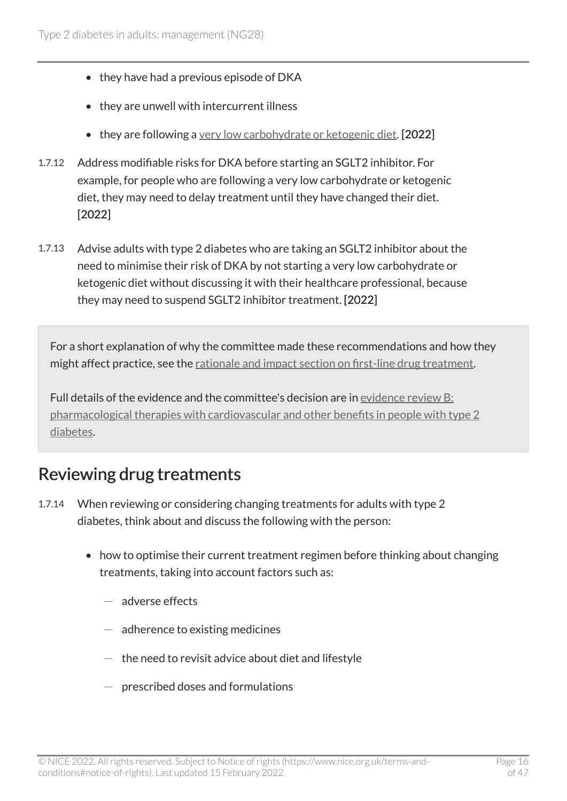- they have had a previous episode of DKA
- they are unwell with intercurrent illness
- they are following a [very low carbohydrate or ketogenic diet.](#page-26-1) [2022]
- 1.7.12 Address modifiable risks for DKA before starting an SGLT2 inhibitor. For example, for people who are following a very low carbohydrate or ketogenic diet, they may need to delay treatment until they have changed their diet. [2022]
- 1.7.13 Advise adults with type 2 diabetes who are taking an SGLT2 inhibitor about the need to minimise their risk of DKA by not starting a very low carbohydrate or ketogenic diet without discussing it with their healthcare professional, because they may need to suspend SGLT2 inhibitor treatment. [2022]

For a short explanation of why the committee made these recommendations and how they might affect practice, see the [rationale and impact section on first-line drug treatment](#page-30-1).

Full details of the evidence and the committee's decision are in [evidence review B:](https://www.nice.org.uk/guidance/ng28/evidence/pharmacological-therapies-with-cardiovascular-and-other-benefits-in-people-with-type-2-diabetes-pdf-10956473392)  [pharmacological therapies with cardiovascular and other benefits in people with type](https://www.nice.org.uk/guidance/ng28/evidence/pharmacological-therapies-with-cardiovascular-and-other-benefits-in-people-with-type-2-diabetes-pdf-10956473392) 2 [diabetes.](https://www.nice.org.uk/guidance/ng28/evidence/pharmacological-therapies-with-cardiovascular-and-other-benefits-in-people-with-type-2-diabetes-pdf-10956473392)

#### <span id="page-15-0"></span>Reviewing drug treatments

- 1.7.14 When reviewing or considering changing treatments for adults with type 2 diabetes, think about and discuss the following with the person:
	- how to optimise their current treatment regimen before thinking about changing treatments, taking into account factors such as:
		- $-$  adverse effects
		- $-$  adherence to existing medicines
		- $-$  the need to revisit advice about diet and lifestyle
		- $-$  prescribed doses and formulations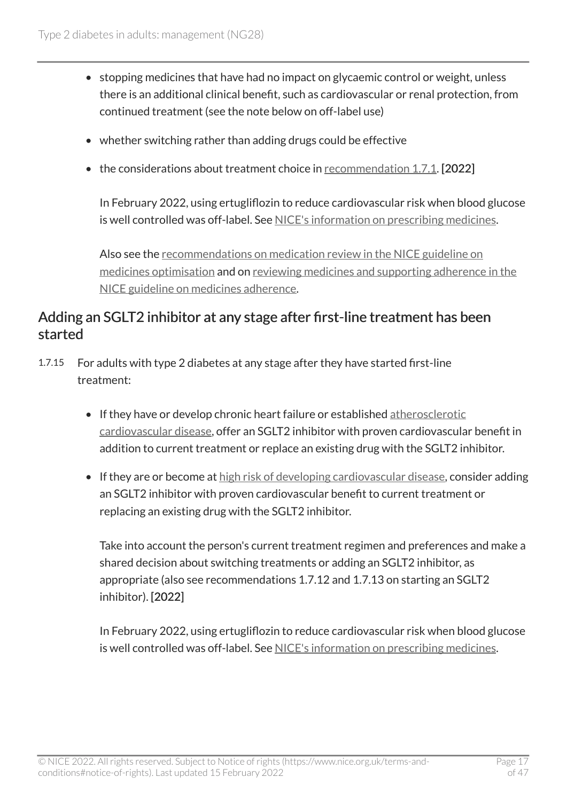- stopping medicines that have had no impact on glycaemic control or weight, unless there is an additional clinical benefit, such as cardiovascular or renal protection, from continued treatment (see the note below on off-label use)
- whether switching rather than adding drugs could be effective
- the considerations about treatment choice in [recommendation 1.7.1.](#page-12-1) [2022]

In February 2022, using ertugliflozin to reduce cardiovascular risk when blood glucose is well controlled was off-label. See [NICE's information on prescribing medicines](https://www.nice.org.uk/about/what-we-do/our-programmes/nice-guidance/nice-guidelines/making-decisions-using-nice-guidelines#prescribing-medicines).

Also see the [recommendations on medication review in the NICE guideline on](https://www.nice.org.uk/guidance/ng5/chapter/1-Recommendations#medication-review) [medicines optimisation](https://www.nice.org.uk/guidance/ng5/chapter/1-Recommendations#medication-review) and on [reviewing medicines and supporting adherence in the](https://www.nice.org.uk/guidance/cg76/chapter/1-Guidance)  [NICE guideline on medicines adherence](https://www.nice.org.uk/guidance/cg76/chapter/1-Guidance).

#### Adding an SGLT2 inhibitor at any stage after first-line treatment has been started

- 1.7.15 For adults with type 2 diabetes at any stage after they have started first-line treatment:
	- If they have or develop chronic heart failure or established [atherosclerotic](#page-25-1) [cardiovascular disease](#page-25-1), offer an SGLT2 inhibitor with proven cardiovascular benefit in addition to current treatment or replace an existing drug with the SGLT2 inhibitor.
	- If they are or become at [high risk of developing cardiovascular disease](#page-26-0), consider adding an SGLT2 inhibitor with proven cardiovascular benefit to current treatment or replacing an existing drug with the SGLT2 inhibitor.

Take into account the person's current treatment regimen and preferences and make a shared decision about switching treatments or adding an SGLT2 inhibitor, as appropriate (also see recommendations 1.7.12 and 1.7.13 on starting an SGLT2 inhibitor). [2022]

In February 2022, using ertugliflozin to reduce cardiovascular risk when blood glucose is well controlled was off-label. See [NICE's information on prescribing medicines](https://www.nice.org.uk/about/what-we-do/our-programmes/nice-guidance/nice-guidelines/making-decisions-using-nice-guidelines#prescribing-medicines).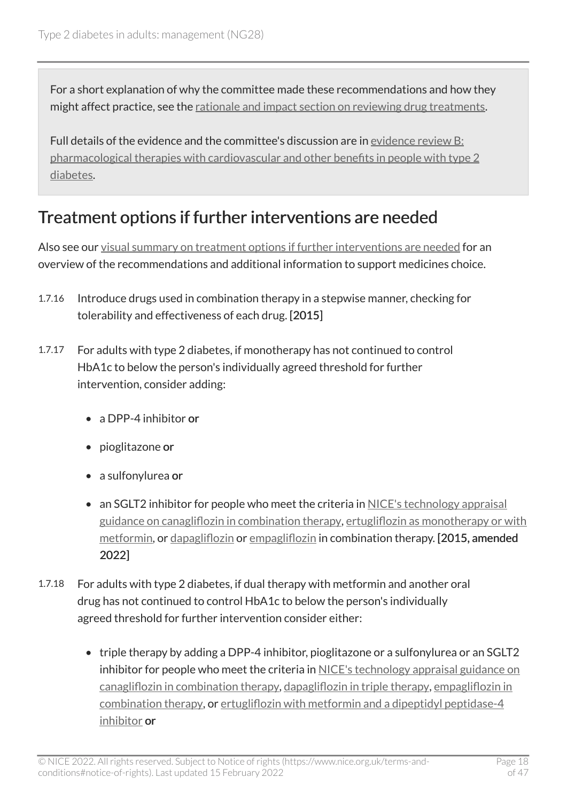For a short explanation of why the committee made these recommendations and how they might affect practice, see the [rationale and impact section on reviewing drug treatments](#page-35-0).

Full details of the evidence and the committee's discussion are in [evidence review B:](https://www.nice.org.uk/guidance/ng28/evidence/pharmacological-therapies-with-cardiovascular-and-other-benefits-in-people-with-type-2-diabetes-pdf-10956473392) [pharmacological therapies with cardiovascular and other benefits in people with type](https://www.nice.org.uk/guidance/ng28/evidence/pharmacological-therapies-with-cardiovascular-and-other-benefits-in-people-with-type-2-diabetes-pdf-10956473392) 2 [diabetes.](https://www.nice.org.uk/guidance/ng28/evidence/pharmacological-therapies-with-cardiovascular-and-other-benefits-in-people-with-type-2-diabetes-pdf-10956473392)

### <span id="page-17-0"></span>Treatment options if further interventions are needed

Also see our [visual summary on treatment options if further interventions are needed](https://www.nice.org.uk/guidance/ng28/resources/visual-summary-pdf-10956472093) for an overview of the recommendations and additional information to support medicines choice.

- 1.7.16 Introduce drugs used in combination therapy in a stepwise manner, checking for tolerability and effectiveness of each drug. [2015]
- 1.7.17 For adults with type 2 diabetes, if monotherapy has not continued to control HbA1c to below the person's individually agreed threshold for further intervention, consider adding:
	- a DPP-4 inhibitor or
	- pioglitazone or
	- a sulfonylurea or
	- an SGLT2 inhibitor for people who meet the criteria in NICE's technology appraisal [guidance on canagliflozin in combination therapy,](https://www.nice.org.uk/guidance/ta315) [ertugliflozin as monotherapy or with](https://www.nice.org.uk/guidance/ta572) [metformin](https://www.nice.org.uk/guidance/ta572), or [dapagliflozin](https://www.nice.org.uk/guidance/ta288) or [empagliflozin](https://www.nice.org.uk/guidance/ta336) in combination therapy. [2015, amended 2022]
- 1.7.18 For adults with type 2 diabetes, if dual therapy with metformin and another oral drug has not continued to control HbA1c to below the person's individually agreed threshold for further intervention consider either:
	- triple therapy by adding a DPP-4 inhibitor, pioglitazone or a sulfonylurea or an SGLT2 inhibitor for people who meet the criteria in NICE's technology appraisal guidance on [canagliflozin in combination therapy](https://www.nice.org.uk/guidance/ta315), [dapagliflozin in triple therapy,](https://www.nice.org.uk/guidance/ta418) [empagliflozin in](https://www.nice.org.uk/guidance/ta336) [combination therapy](https://www.nice.org.uk/guidance/ta336), or [ertugliflozin with metformin and a dipeptidyl peptidase-4](https://www.nice.org.uk/guidance/ta583) [inhibitor](https://www.nice.org.uk/guidance/ta583) or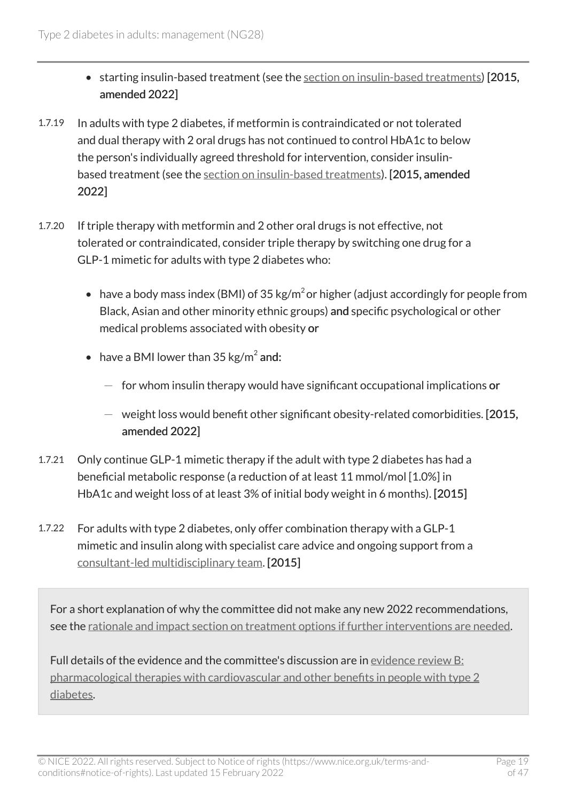- starting insulin-based treatment (see the [section on insulin-based treatments\)](#page-19-0) [2015, amended 2022]
- 1.7.19 In adults with type 2 diabetes, if metformin is contraindicated or not tolerated and dual therapy with 2 oral drugs has not continued to control HbA1c to below the person's individually agreed threshold for intervention, consider insulinbased treatment (see the [section on insulin-based treatments](#page-19-0)). [2015, amended 2022]
- 1.7.20 If triple therapy with metformin and 2 other oral drugs is not effective, not tolerated or contraindicated, consider triple therapy by switching one drug for a GLP-1 mimetic for adults with type 2 diabetes who:
	- have a body mass index (BMI) of 35 kg/m<sup>2</sup> or higher (adjust accordingly for people from Black, Asian and other minority ethnic groups) and specific psychological or other medical problems associated with obesity or
	- have a BMI lower than  $35 \text{ kg/m}^2$  and:
		- $-$  for whom insulin therapy would have significant occupational implications or
		- $-$  weight loss would benefit other significant obesity-related comorbidities. [2015, amended 2022]
- 1.7.21 Only continue GLP-1 mimetic therapy if the adult with type 2 diabetes has had a beneficial metabolic response (a reduction of at least 11 mmol/mol [1.0%] in HbA1c and weight loss of at least 3% of initial body weight in 6 months). [2015]
- 1.7.22 For adults with type 2 diabetes, only offer combination therapy with a GLP-1 mimetic and insulin along with specialist care advice and ongoing support from a [consultant-led multidisciplinary team.](#page-26-2) [2015]

For a short explanation of why the committee did not make any new 2022 recommendations, see the [rationale and impact section on treatment options if further interventions are needed.](#page-37-0)

Full details of the evidence and the committee's discussion are in [evidence review B:](https://www.nice.org.uk/guidance/ng28/evidence/pharmacological-therapies-with-cardiovascular-and-other-benefits-in-people-with-type-2-diabetes-pdf-10956473392) [pharmacological therapies with cardiovascular and other benefits in people with type](https://www.nice.org.uk/guidance/ng28/evidence/pharmacological-therapies-with-cardiovascular-and-other-benefits-in-people-with-type-2-diabetes-pdf-10956473392) 2 [diabetes.](https://www.nice.org.uk/guidance/ng28/evidence/pharmacological-therapies-with-cardiovascular-and-other-benefits-in-people-with-type-2-diabetes-pdf-10956473392)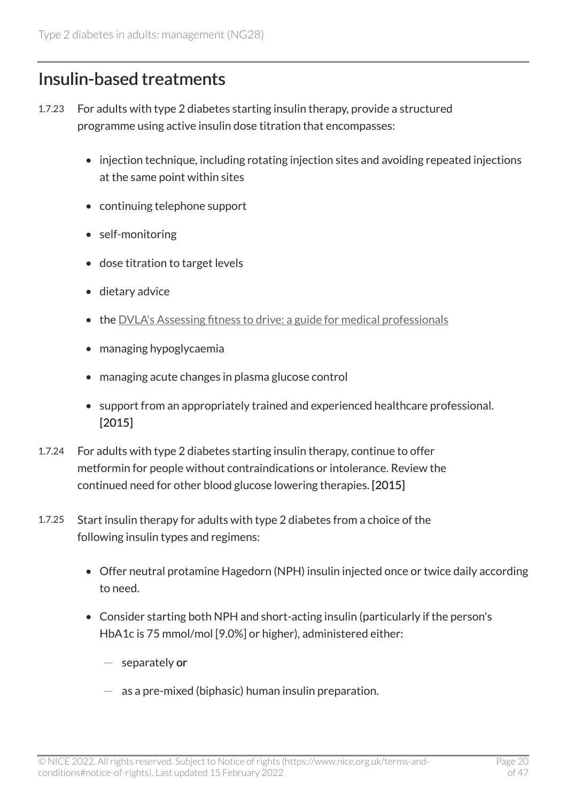### <span id="page-19-0"></span>Insulin-based treatments

- 1.7.23 For adults with type 2 diabetes starting insulin therapy, provide a structured programme using active insulin dose titration that encompasses:
	- injection technique, including rotating injection sites and avoiding repeated injections at the same point within sites
	- continuing telephone support
	- self-monitoring
	- dose titration to target levels
	- dietary advice
	- the [DVLA's Assessing fitness to drive: a guide for medical professionals](http://www.gov.uk/government/publications/at-a-glance)
	- managing hypoglycaemia
	- managing acute changes in plasma glucose control
	- support from an appropriately trained and experienced healthcare professional. [2015]
- 1.7.24 For adults with type 2 diabetes starting insulin therapy, continue to offer metformin for people without contraindications or intolerance. Review the continued need for other blood glucose lowering therapies. [2015]
- 1.7.25 Start insulin therapy for adults with type 2 diabetes from a choice of the following insulin types and regimens:
	- Offer neutral protamine Hagedorn (NPH) insulin injected once or twice daily according to need.
	- Consider starting both NPH and short-acting insulin (particularly if the person's HbA1c is 75 mmol/mol [9.0%] or higher), administered either:
		- $-$  separately or
		- $-$  as a pre-mixed (biphasic) human insulin preparation.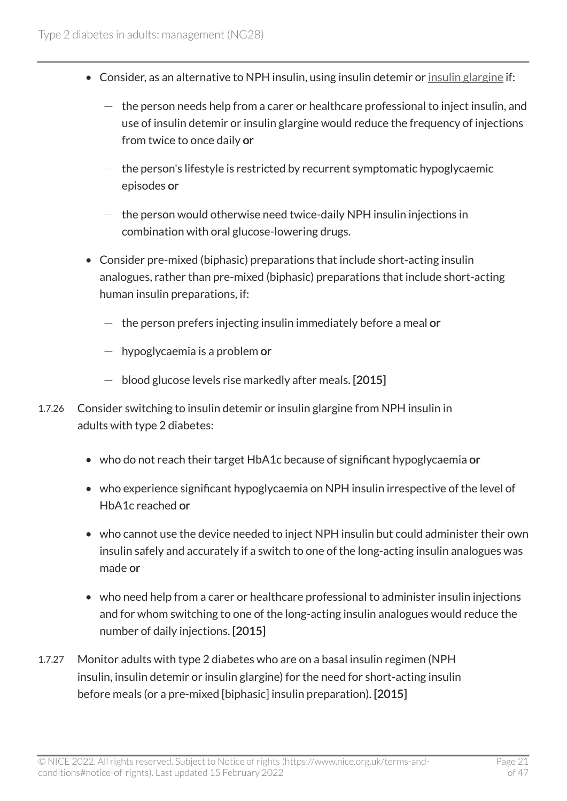- Consider, as an alternative to NPH insulin, using insulin detemir or [insulin glargine](#page-26-3) if:
	- $-$  the person needs help from a carer or healthcare professional to inject insulin, and use of insulin detemir or insulin glargine would reduce the frequency of injections from twice to once daily or
	- $-$  the person's lifestyle is restricted by recurrent symptomatic hypoglycaemic episodes or
	- $-$  the person would otherwise need twice-daily NPH insulin injections in combination with oral glucose-lowering drugs.
- Consider pre-mixed (biphasic) preparations that include short-acting insulin analogues, rather than pre-mixed (biphasic) preparations that include short-acting human insulin preparations, if:
	- $-$  the person prefers injecting insulin immediately before a meal or
	- $-$  hypoglycaemia is a problem or
	- $-$  blood glucose levels rise markedly after meals. [2015]
- 1.7.26 Consider switching to insulin detemir or insulin glargine from NPH insulin in adults with type 2 diabetes:
	- who do not reach their target HbA1c because of significant hypoglycaemia or
	- who experience significant hypoglycaemia on NPH insulin irrespective of the level of HbA1c reached or
	- who cannot use the device needed to inject NPH insulin but could administer their own insulin safely and accurately if a switch to one of the long-acting insulin analogues was made or
	- who need help from a carer or healthcare professional to administer insulin injections and for whom switching to one of the long-acting insulin analogues would reduce the number of daily injections. [2015]
- 1.7.27 Monitor adults with type 2 diabetes who are on a basal insulin regimen (NPH insulin, insulin detemir or insulin glargine) for the need for short-acting insulin before meals (or a pre-mixed [biphasic] insulin preparation). [2015]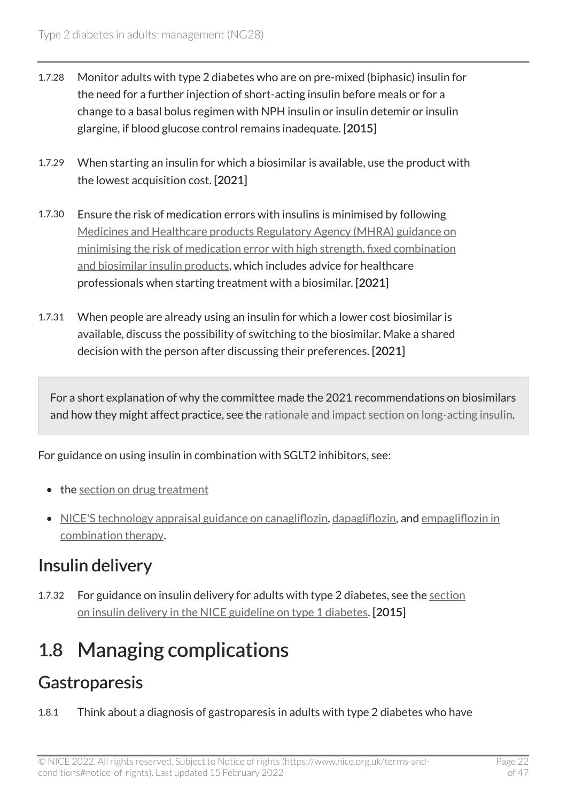- 1.7.28 Monitor adults with type 2 diabetes who are on pre-mixed (biphasic) insulin for the need for a further injection of short-acting insulin before meals or for a change to a basal bolus regimen with NPH insulin or insulin detemir or insulin glargine, if blood glucose control remains inadequate. [2015]
- 1.7.29 When starting an insulin for which a biosimilar is available, use the product with the lowest acquisition cost. [2021]
- 1.7.30 Ensure the risk of medication errors with insulins is minimised by following [Medicines and Healthcare products Regulatory Agency \(MHRA\) guidance on](https://www.gov.uk/drug-safety-update/high-strength-fixed-combination-and-biosimilar-insulin-products-minimising-the-risk-of-medication-error?UNLID=7533607272016481362) [minimising the risk of medication error with high strength, fixed combination](https://www.gov.uk/drug-safety-update/high-strength-fixed-combination-and-biosimilar-insulin-products-minimising-the-risk-of-medication-error?UNLID=7533607272016481362)  [and biosimilar insulin products,](https://www.gov.uk/drug-safety-update/high-strength-fixed-combination-and-biosimilar-insulin-products-minimising-the-risk-of-medication-error?UNLID=7533607272016481362) which includes advice for healthcare professionals when starting treatment with a biosimilar. [2021]
- 1.7.31 When people are already using an insulin for which a lower cost biosimilar is available, discuss the possibility of switching to the biosimilar. Make a shared decision with the person after discussing their preferences. [2021]

For a short explanation of why the committee made the 2021 recommendations on biosimilars and how they might affect practice, see the [rationale and impact section on long-acting insulin](#page-39-0).

For guidance on using insulin in combination with SGLT2 inhibitors, see:

- the [section on drug treatment](#page-12-0)
- [NICE'S technology appraisal guidance on canagliflozin](https://www.nice.org.uk/guidance/ta315), [dapagliflozin,](https://www.nice.org.uk/guidance/ta288) and empagliflozin in [combination therapy.](https://www.nice.org.uk/guidance/ta336)

## Insulin delivery

1.7.32 For guidance on insulin delivery for adults with type 2 diabetes, see the section [on insulin delivery in the NICE guideline on type](http://www.nice.org.uk/guidance/ng17/chapter/1-Recommendations#insulin-delivery) 1 diabetes. [2015]

## <span id="page-21-0"></span>1.8 Managing complications

### **Gastroparesis**

1.8.1 Think about a diagnosis of gastroparesis in adults with type 2 diabetes who have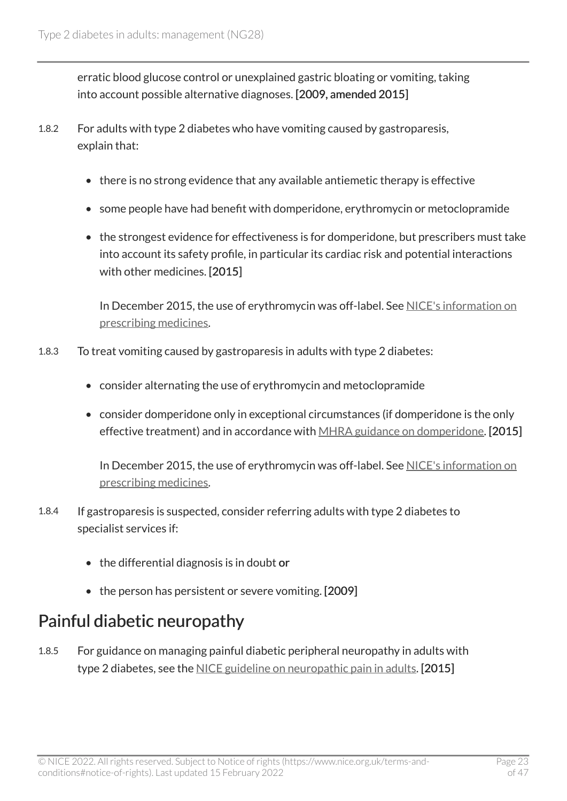erratic blood glucose control or unexplained gastric bloating or vomiting, taking into account possible alternative diagnoses. [2009, amended 2015]

- 1.8.2 For adults with type 2 diabetes who have vomiting caused by gastroparesis, explain that:
	- there is no strong evidence that any available antiemetic therapy is effective
	- some people have had benefit with domperidone, erythromycin or metoclopramide
	- the strongest evidence for effectiveness is for domperidone, but prescribers must take into account its safety profile, in particular its cardiac risk and potential interactions with other medicines. [2015]

In December 2015, the use of erythromycin was off-label. See NICE's information on [prescribing medicines.](https://www.nice.org.uk/about/what-we-do/our-programmes/nice-guidance/nice-guidelines/making-decisions-using-nice-guidelines#prescribing-medicines)

- 1.8.3 To treat vomiting caused by gastroparesis in adults with type 2 diabetes:
	- consider alternating the use of erythromycin and metoclopramide
	- consider domperidone only in exceptional circumstances (if domperidone is the only effective treatment) and in accordance with [MHRA guidance on domperidone](https://www.gov.uk/drug-safety-update/domperidone-risks-of-cardiac-side-effects). [2015]

In December 2015, the use of erythromycin was off-label. See [NICE's information on](https://www.nice.org.uk/about/what-we-do/our-programmes/nice-guidance/nice-guidelines/making-decisions-using-nice-guidelines#prescribing-medicines)  [prescribing medicines.](https://www.nice.org.uk/about/what-we-do/our-programmes/nice-guidance/nice-guidelines/making-decisions-using-nice-guidelines#prescribing-medicines)

- 1.8.4 If gastroparesis is suspected, consider referring adults with type 2 diabetes to specialist services if:
	- the differential diagnosis is in doubt or
	- the person has persistent or severe vomiting. [2009]

#### Painful diabetic neuropathy

1.8.5 For guidance on managing painful diabetic peripheral neuropathy in adults with type 2 diabetes, see the [NICE guideline on neuropathic pain in adults](https://www.nice.org.uk/guidance/cg173). [2015]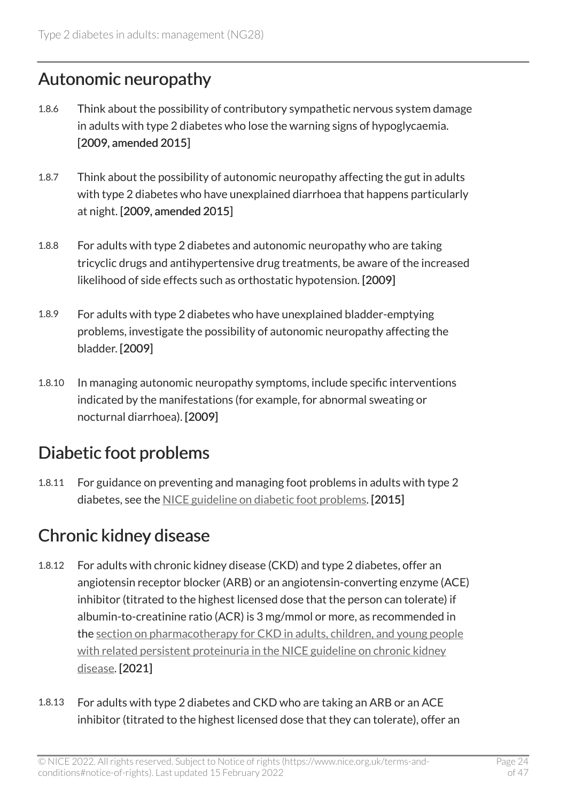#### Autonomic neuropathy

- 1.8.6 Think about the possibility of contributory sympathetic nervous system damage in adults with type 2 diabetes who lose the warning signs of hypoglycaemia. [2009, amended 2015]
- 1.8.7 Think about the possibility of autonomic neuropathy affecting the gut in adults with type 2 diabetes who have unexplained diarrhoea that happens particularly at night. [2009, amended 2015]
- 1.8.8 For adults with type 2 diabetes and autonomic neuropathy who are taking tricyclic drugs and antihypertensive drug treatments, be aware of the increased likelihood of side effects such as orthostatic hypotension. [2009]
- 1.8.9 For adults with type 2 diabetes who have unexplained bladder-emptying problems, investigate the possibility of autonomic neuropathy affecting the bladder. [2009]
- 1.8.10 In managing autonomic neuropathy symptoms, include specific interventions indicated by the manifestations (for example, for abnormal sweating or nocturnal diarrhoea). [2009]

### Diabetic foot problems

1.8.11 For guidance on preventing and managing foot problems in adults with type 2 diabetes, see the [NICE guideline on diabetic foot problems.](https://www.nice.org.uk/guidance/ng19) [2015]

## <span id="page-23-0"></span>Chronic kidney disease

- 1.8.12 For adults with chronic kidney disease (CKD) and type 2 diabetes, offer an angiotensin receptor blocker (ARB) or an angiotensin-converting enzyme (ACE) inhibitor (titrated to the highest licensed dose that the person can tolerate) if albumin-to-creatinine ratio (ACR) is 3 mg/mmol or more, as recommended in the [section on pharmacotherapy for CKD in adults, children, and young people](https://www.nice.org.uk/guidance/ng203/chapter/recommendations#pharmacotherapy-for-ckd-in-adults-children-and-young-people-with-related-persistent-proteinuria)  with related persistent proteinuria in the NICE guideline on chronic kidney [disease](https://www.nice.org.uk/guidance/ng203/chapter/recommendations#pharmacotherapy-for-ckd-in-adults-children-and-young-people-with-related-persistent-proteinuria). [2021]
- 1.8.13 For adults with type 2 diabetes and CKD who are taking an ARB or an ACE inhibitor (titrated to the highest licensed dose that they can tolerate), offer an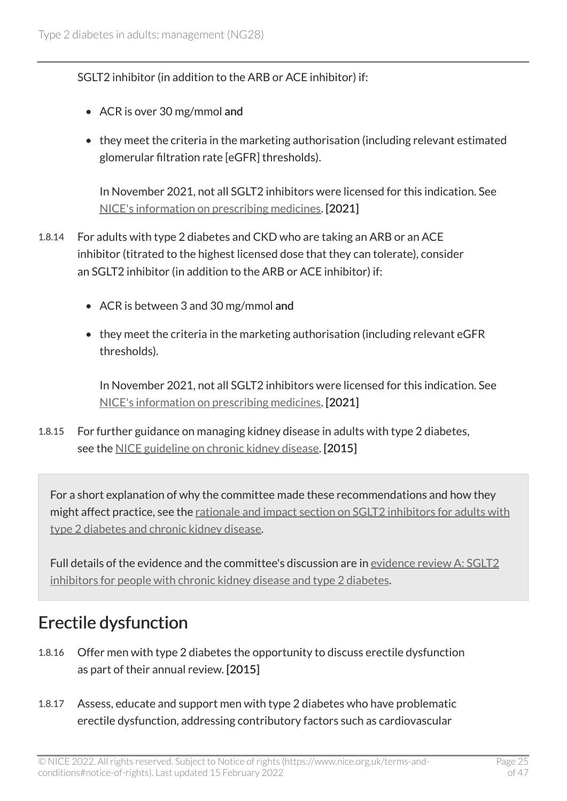SGLT2 inhibitor (in addition to the ARB or ACE inhibitor) if:

- ACR is over 30 mg/mmol and
- they meet the criteria in the marketing authorisation (including relevant estimated glomerular filtration rate [eGFR] thresholds).

In November 2021, not all SGLT2 inhibitors were licensed for this indication. See [NICE's information on prescribing medicines](https://www.nice.org.uk/about/what-we-do/our-programmes/nice-guidance/nice-guidelines/making-decisions-using-nice-guidelines#prescribing-medicines). [2021]

- 1.8.14 For adults with type 2 diabetes and CKD who are taking an ARB or an ACE inhibitor (titrated to the highest licensed dose that they can tolerate), consider an SGLT2 inhibitor (in addition to the ARB or ACE inhibitor) if:
	- ACR is between 3 and 30 mg/mmol and
	- they meet the criteria in the marketing authorisation (including relevant eGFR thresholds).

In November 2021, not all SGLT2 inhibitors were licensed for this indication. See [NICE's information on prescribing medicines](https://www.nice.org.uk/about/what-we-do/our-programmes/nice-guidance/nice-guidelines/making-decisions-using-nice-guidelines#prescribing-medicines). [2021]

1.8.15 For further guidance on managing kidney disease in adults with type 2 diabetes, see the [NICE guideline on chronic kidney disease.](https://www.nice.org.uk/guidance/ng203) [2015]

For a short explanation of why the committee made these recommendations and how they might affect practice, see the rationale and impact section on SGLT2 inhibitors for adults with [type 2 diabetes and chronic kidney disease](#page-39-1).

Full details of the evidence and the committee's discussion are in [evidence review A: SGLT2](https://www.nice.org.uk/guidance/ng28/evidence/sglt2-inhibitors-for-people-with-chronic-kidney-disease-and-type-2-diabetes-pdf-10958150413) [inhibitors for people with chronic kidney disease and type 2 diabetes.](https://www.nice.org.uk/guidance/ng28/evidence/sglt2-inhibitors-for-people-with-chronic-kidney-disease-and-type-2-diabetes-pdf-10958150413)

### Erectile dysfunction

- 1.8.16 Offer men with type 2 diabetes the opportunity to discuss erectile dysfunction as part of their annual review. [2015]
- 1.8.17 Assess, educate and support men with type 2 diabetes who have problematic erectile dysfunction, addressing contributory factors such as cardiovascular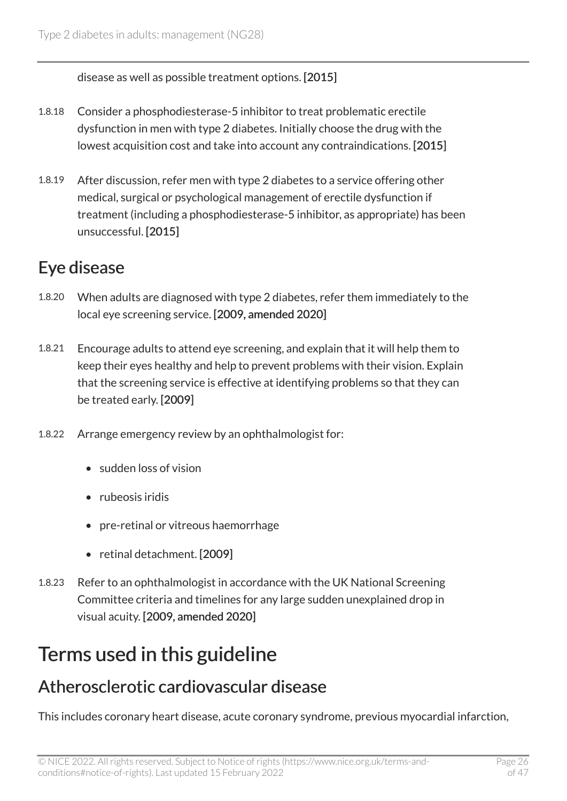disease as well as possible treatment options. [2015]

- 1.8.18 Consider a phosphodiesterase-5 inhibitor to treat problematic erectile dysfunction in men with type 2 diabetes. Initially choose the drug with the lowest acquisition cost and take into account any contraindications. [2015]
- 1.8.19 After discussion, refer men with type 2 diabetes to a service offering other medical, surgical or psychological management of erectile dysfunction if treatment (including a phosphodiesterase-5 inhibitor, as appropriate) has been unsuccessful. [2015]

### Eye disease

- 1.8.20 When adults are diagnosed with type 2 diabetes, refer them immediately to the local eye screening service. [2009, amended 2020]
- 1.8.21 Encourage adults to attend eye screening, and explain that it will help them to keep their eyes healthy and help to prevent problems with their vision. Explain that the screening service is effective at identifying problems so that they can be treated early. [2009]
- 1.8.22 Arrange emergency review by an ophthalmologist for:
	- sudden loss of vision
	- rubeosis iridis
	- pre-retinal or vitreous haemorrhage
	- retinal detachment. [2009]
- 1.8.23 Refer to an ophthalmologist in accordance with the UK National Screening Committee criteria and timelines for any large sudden unexplained drop in visual acuity. [2009, amended 2020]

# <span id="page-25-0"></span>Terms used in this guideline

### <span id="page-25-1"></span>Atherosclerotic cardiovascular disease

This includes coronary heart disease, acute coronary syndrome, previous myocardial infarction,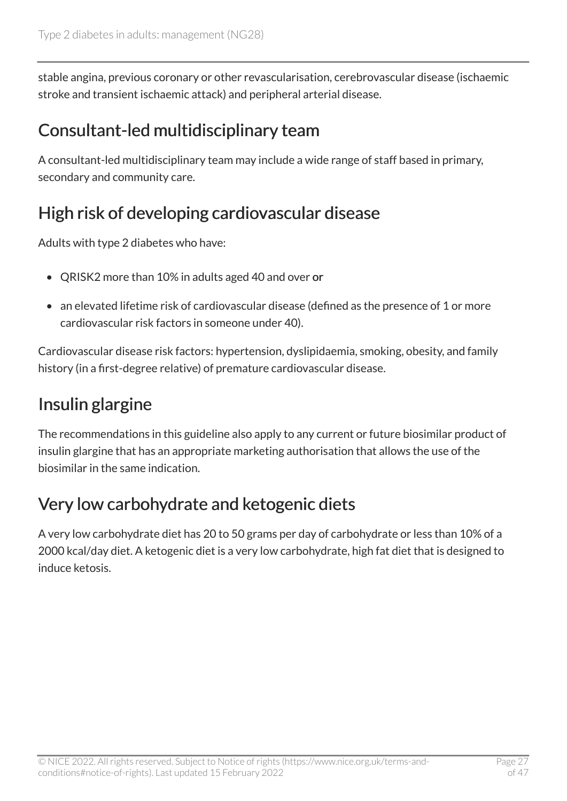stable angina, previous coronary or other revascularisation, cerebrovascular disease (ischaemic stroke and transient ischaemic attack) and peripheral arterial disease.

### <span id="page-26-2"></span>Consultant-led multidisciplinary team

A consultant-led multidisciplinary team may include a wide range of staff based in primary, secondary and community care.

### <span id="page-26-0"></span>High risk of developing cardiovascular disease

Adults with type 2 diabetes who have:

- QRISK2 more than 10% in adults aged 40 and over or
- an elevated lifetime risk of cardiovascular disease (defined as the presence of 1 or more cardiovascular risk factors in someone under 40).

Cardiovascular disease risk factors: hypertension, dyslipidaemia, smoking, obesity, and family history (in a first-degree relative) of premature cardiovascular disease.

## <span id="page-26-3"></span>Insulin glargine

The recommendations in this guideline also apply to any current or future biosimilar product of insulin glargine that has an appropriate marketing authorisation that allows the use of the biosimilar in the same indication.

## <span id="page-26-1"></span>Very low carbohydrate and ketogenic diets

A very low carbohydrate diet has 20 to 50 grams per day of carbohydrate or less than 10% of a 2000 kcal/day diet. A ketogenic diet is a very low carbohydrate, high fat diet that is designed to induce ketosis.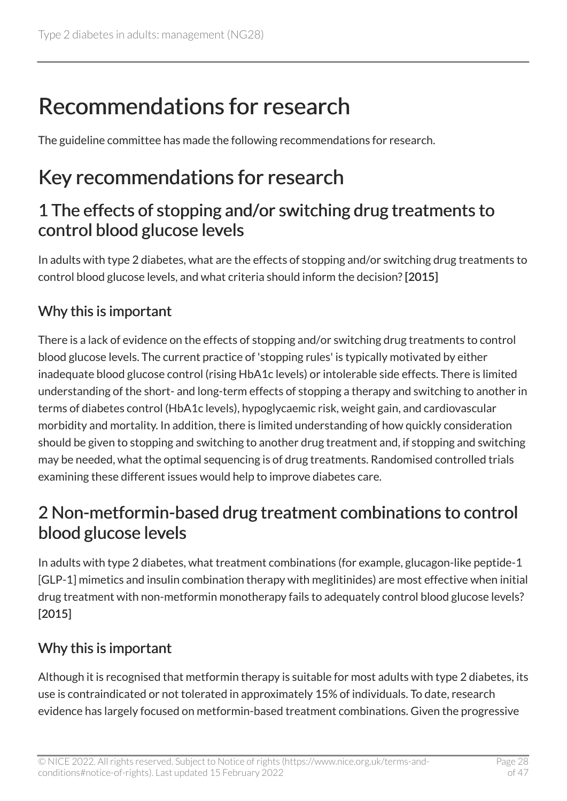# <span id="page-27-0"></span>Recommendations for research

The guideline committee has made the following recommendations for research.

# <span id="page-27-1"></span>Key recommendations for research

#### 1 The effects of stopping and/or switching drug treatments to control blood glucose levels

In adults with type 2 diabetes, what are the effects of stopping and/or switching drug treatments to control blood glucose levels, and what criteria should inform the decision? [2015]

#### Why this is important

There is a lack of evidence on the effects of stopping and/or switching drug treatments to control blood glucose levels. The current practice of 'stopping rules' is typically motivated by either inadequate blood glucose control (rising HbA1c levels) or intolerable side effects. There is limited understanding of the short- and long-term effects of stopping a therapy and switching to another in terms of diabetes control (HbA1c levels), hypoglycaemic risk, weight gain, and cardiovascular morbidity and mortality. In addition, there is limited understanding of how quickly consideration should be given to stopping and switching to another drug treatment and, if stopping and switching may be needed, what the optimal sequencing is of drug treatments. Randomised controlled trials examining these different issues would help to improve diabetes care.

#### 2 Non-metformin-based drug treatment combinations to control blood glucose levels

In adults with type 2 diabetes, what treatment combinations (for example, glucagon-like peptide-1 [GLP-1] mimetics and insulin combination therapy with meglitinides) are most effective when initial drug treatment with non-metformin monotherapy fails to adequately control blood glucose levels? [2015]

#### Why this is important

Although it is recognised that metformin therapy is suitable for most adults with type 2 diabetes, its use is contraindicated or not tolerated in approximately 15% of individuals. To date, research evidence has largely focused on metformin-based treatment combinations. Given the progressive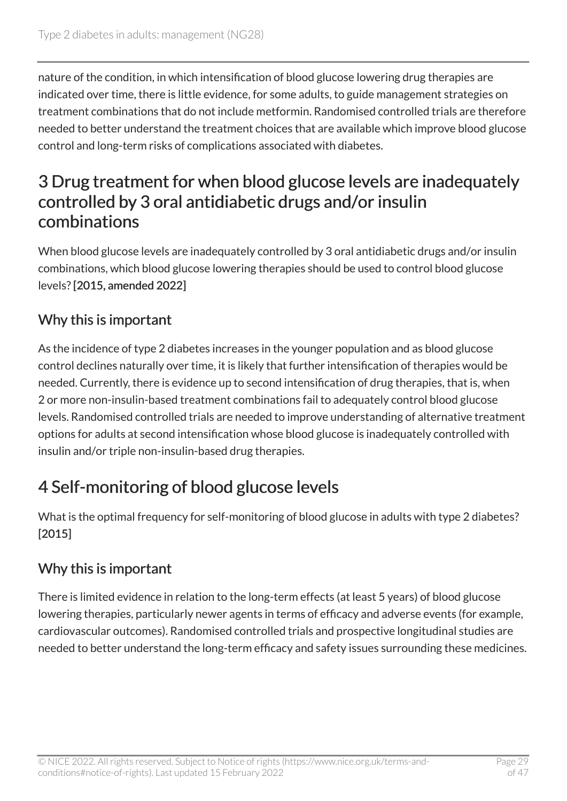nature of the condition, in which intensification of blood glucose lowering drug therapies are indicated over time, there is little evidence, for some adults, to guide management strategies on treatment combinations that do not include metformin. Randomised controlled trials are therefore needed to better understand the treatment choices that are available which improve blood glucose control and long-term risks of complications associated with diabetes.

#### 3 Drug treatment for when blood glucose levels are inadequately controlled by 3 oral antidiabetic drugs and/or insulin combinations

When blood glucose levels are inadequately controlled by 3 oral antidiabetic drugs and/or insulin combinations, which blood glucose lowering therapies should be used to control blood glucose levels? [2015, amended 2022]

#### Why this is important

As the incidence of type 2 diabetes increases in the younger population and as blood glucose control declines naturally over time, it is likely that further intensification of therapies would be needed. Currently, there is evidence up to second intensification of drug therapies, that is, when 2 or more non-insulin-based treatment combinations fail to adequately control blood glucose levels. Randomised controlled trials are needed to improve understanding of alternative treatment options for adults at second intensification whose blood glucose is inadequately controlled with insulin and/or triple non-insulin-based drug therapies.

## 4 Self-monitoring of blood glucose levels

What is the optimal frequency for self-monitoring of blood glucose in adults with type 2 diabetes? [2015]

#### Why this is important

There is limited evidence in relation to the long-term effects (at least 5 years) of blood glucose lowering therapies, particularly newer agents in terms of efficacy and adverse events (for example, cardiovascular outcomes). Randomised controlled trials and prospective longitudinal studies are needed to better understand the long-term efficacy and safety issues surrounding these medicines.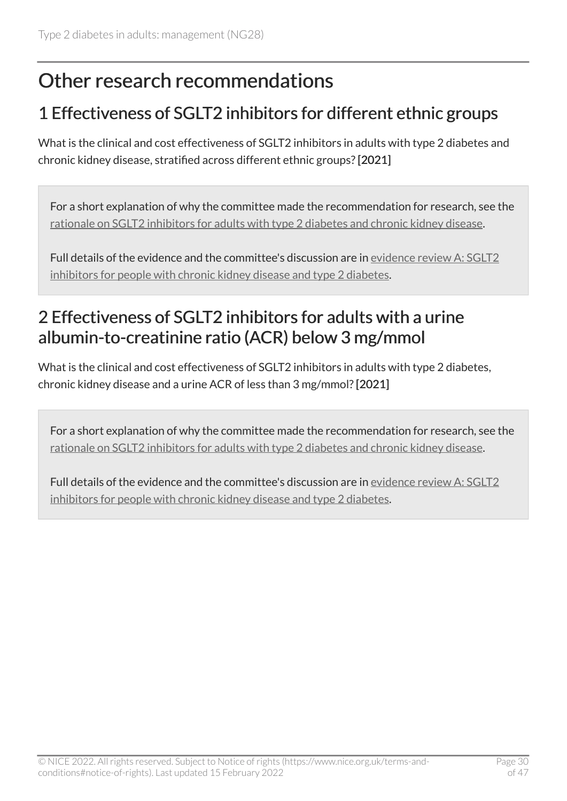## <span id="page-29-0"></span>Other research recommendations

### <span id="page-29-2"></span>1 Effectiveness of SGLT2 inhibitors for different ethnic groups

What is the clinical and cost effectiveness of SGLT2 inhibitors in adults with type 2 diabetes and chronic kidney disease, stratified across different ethnic groups? [2021]

For a short explanation of why the committee made the recommendation for research, see the [rationale on SGLT2 inhibitors for adults with type](#page-39-1) 2 diabetes and chronic kidney disease.

Full details of the evidence and the committee's discussion are in [evidence review](https://www.nice.org.uk/guidance/ng28/evidence/sglt2-inhibitors-for-people-with-chronic-kidney-disease-and-type-2-diabetes-pdf-10958150413) A: SGLT2 [inhibitors for people with chronic kidney disease and type](https://www.nice.org.uk/guidance/ng28/evidence/sglt2-inhibitors-for-people-with-chronic-kidney-disease-and-type-2-diabetes-pdf-10958150413) 2 diabetes.

### <span id="page-29-1"></span>2 Effectiveness of SGLT2 inhibitors for adults with a urine albumin-to-creatinine ratio (ACR) below 3 mg/mmol

What is the clinical and cost effectiveness of SGLT2 inhibitors in adults with type 2 diabetes, chronic kidney disease and a urine ACR of less than 3 mg/mmol? [2021]

For a short explanation of why the committee made the recommendation for research, see the [rationale on SGLT2 inhibitors for adults with type](#page-39-1) 2 diabetes and chronic kidney disease.

Full details of the evidence and the committee's discussion are in [evidence review](https://www.nice.org.uk/guidance/ng28/evidence/sglt2-inhibitors-for-people-with-chronic-kidney-disease-and-type-2-diabetes-pdf-10958150413) A: SGLT2 [inhibitors for people with chronic kidney disease and type](https://www.nice.org.uk/guidance/ng28/evidence/sglt2-inhibitors-for-people-with-chronic-kidney-disease-and-type-2-diabetes-pdf-10958150413) 2 diabetes.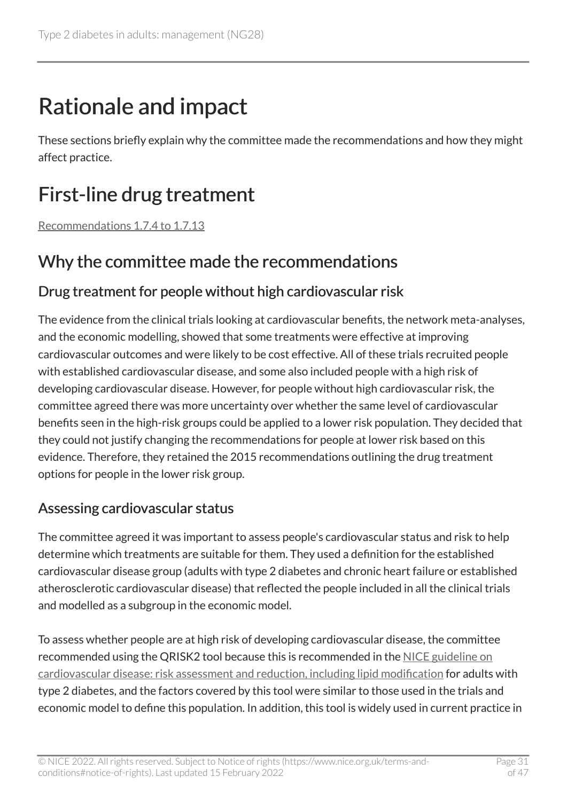# <span id="page-30-0"></span>Rationale and impact

These sections briefly explain why the committee made the recommendations and how they might affect practice.

# <span id="page-30-1"></span>First-line drug treatment

[Recommendations 1.7.4 to 1.7.13](#page-13-0) 

#### Why the committee made the recommendations

#### Drug treatment for people without high cardiovascular risk

The evidence from the clinical trials looking at cardiovascular benefits, the network meta-analyses, and the economic modelling, showed that some treatments were effective at improving cardiovascular outcomes and were likely to be cost effective. All of these trials recruited people with established cardiovascular disease, and some also included people with a high risk of developing cardiovascular disease. However, for people without high cardiovascular risk, the committee agreed there was more uncertainty over whether the same level of cardiovascular benefits seen in the high-risk groups could be applied to a lower risk population. They decided that they could not justify changing the recommendations for people at lower risk based on this evidence. Therefore, they retained the 2015 recommendations outlining the drug treatment options for people in the lower risk group.

#### Assessing cardiovascular status

The committee agreed it was important to assess people's cardiovascular status and risk to help determine which treatments are suitable for them. They used a definition for the established cardiovascular disease group (adults with type 2 diabetes and chronic heart failure or established atherosclerotic cardiovascular disease) that reflected the people included in all the clinical trials and modelled as a subgroup in the economic model.

To assess whether people are at high risk of developing cardiovascular disease, the committee recommended using the QRISK2 tool because this is recommended in the [NICE guideline on](https://www.nice.org.uk/guidance/cg181) [cardiovascular disease: risk assessment and reduction, including lipid modification](https://www.nice.org.uk/guidance/cg181) for adults with type 2 diabetes, and the factors covered by this tool were similar to those used in the trials and economic model to define this population. In addition, this tool is widely used in current practice in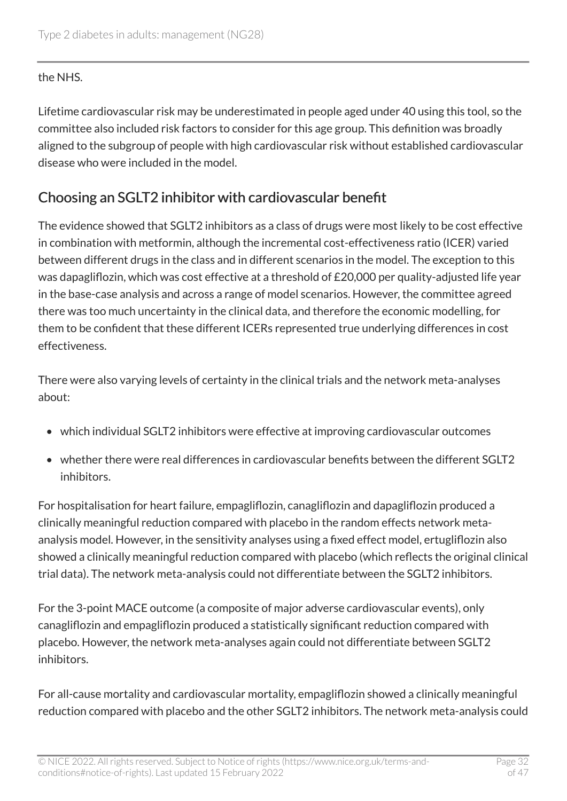#### the NHS.

Lifetime cardiovascular risk may be underestimated in people aged under 40 using this tool, so the committee also included risk factors to consider for this age group. This definition was broadly aligned to the subgroup of people with high cardiovascular risk without established cardiovascular disease who were included in the model.

#### <span id="page-31-0"></span>Choosing an SGLT2 inhibitor with cardiovascular benefit

The evidence showed that SGLT2 inhibitors as a class of drugs were most likely to be cost effective in combination with metformin, although the incremental cost-effectiveness ratio (ICER) varied between different drugs in the class and in different scenarios in the model. The exception to this was dapagliflozin, which was cost effective at a threshold of £20,000 per quality-adjusted life year in the base-case analysis and across a range of model scenarios. However, the committee agreed there was too much uncertainty in the clinical data, and therefore the economic modelling, for them to be confident that these different ICERs represented true underlying differences in cost effectiveness.

There were also varying levels of certainty in the clinical trials and the network meta-analyses about:

- which individual SGLT2 inhibitors were effective at improving cardiovascular outcomes
- whether there were real differences in cardiovascular benefits between the different SGLT2 inhibitors.

For hospitalisation for heart failure, empagliflozin, canagliflozin and dapagliflozin produced a clinically meaningful reduction compared with placebo in the random effects network metaanalysis model. However, in the sensitivity analyses using a fixed effect model, ertugliflozin also showed a clinically meaningful reduction compared with placebo (which reflects the original clinical trial data). The network meta-analysis could not differentiate between the SGLT2 inhibitors.

For the 3-point MACE outcome (a composite of major adverse cardiovascular events), only canagliflozin and empagliflozin produced a statistically significant reduction compared with placebo. However, the network meta-analyses again could not differentiate between SGLT2 inhibitors.

For all-cause mortality and cardiovascular mortality, empagliflozin showed a clinically meaningful reduction compared with placebo and the other SGLT2 inhibitors. The network meta-analysis could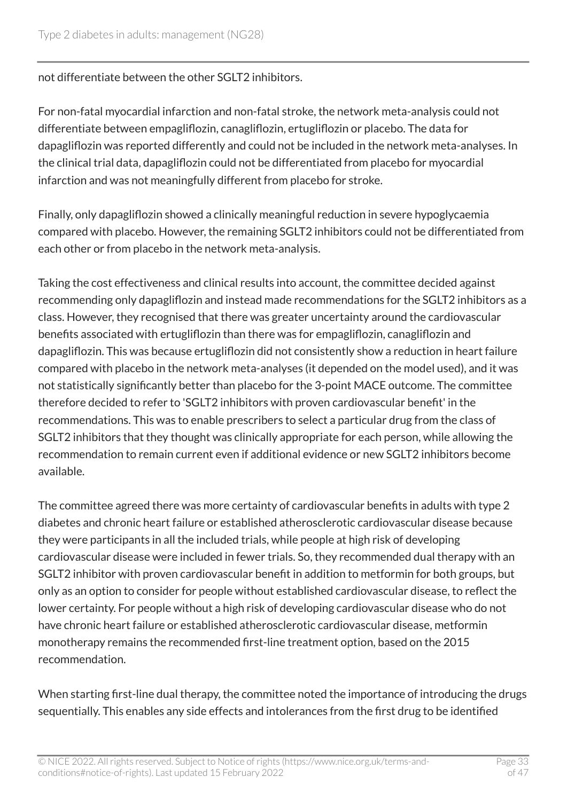not differentiate between the other SGLT2 inhibitors.

For non-fatal myocardial infarction and non-fatal stroke, the network meta-analysis could not differentiate between empagliflozin, canagliflozin, ertugliflozin or placebo. The data for dapagliflozin was reported differently and could not be included in the network meta-analyses. In the clinical trial data, dapagliflozin could not be differentiated from placebo for myocardial infarction and was not meaningfully different from placebo for stroke.

Finally, only dapagliflozin showed a clinically meaningful reduction in severe hypoglycaemia compared with placebo. However, the remaining SGLT2 inhibitors could not be differentiated from each other or from placebo in the network meta-analysis.

Taking the cost effectiveness and clinical results into account, the committee decided against recommending only dapagliflozin and instead made recommendations for the SGLT2 inhibitors as a class. However, they recognised that there was greater uncertainty around the cardiovascular benefits associated with ertugliflozin than there was for empagliflozin, canagliflozin and dapagliflozin. This was because ertugliflozin did not consistently show a reduction in heart failure compared with placebo in the network meta-analyses (it depended on the model used), and it was not statistically significantly better than placebo for the 3-point MACE outcome. The committee therefore decided to refer to 'SGLT2 inhibitors with proven cardiovascular benefit' in the recommendations. This was to enable prescribers to select a particular drug from the class of SGLT2 inhibitors that they thought was clinically appropriate for each person, while allowing the recommendation to remain current even if additional evidence or new SGLT2 inhibitors become available.

The committee agreed there was more certainty of cardiovascular benefits in adults with type 2 diabetes and chronic heart failure or established atherosclerotic cardiovascular disease because they were participants in all the included trials, while people at high risk of developing cardiovascular disease were included in fewer trials. So, they recommended dual therapy with an SGLT2 inhibitor with proven cardiovascular benefit in addition to metformin for both groups, but only as an option to consider for people without established cardiovascular disease, to reflect the lower certainty. For people without a high risk of developing cardiovascular disease who do not have chronic heart failure or established atherosclerotic cardiovascular disease, metformin monotherapy remains the recommended first-line treatment option, based on the 2015 recommendation.

When starting first-line dual therapy, the committee noted the importance of introducing the drugs sequentially. This enables any side effects and intolerances from the first drug to be identified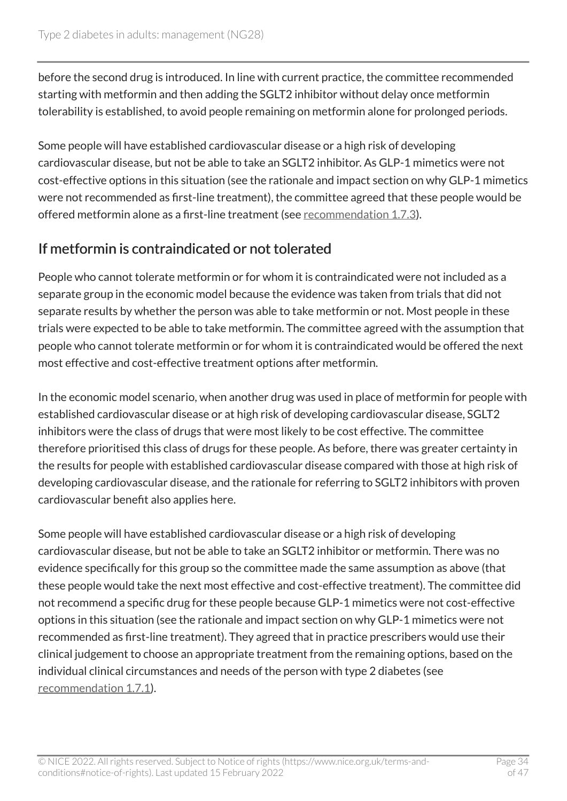before the second drug is introduced. In line with current practice, the committee recommended starting with metformin and then adding the SGLT2 inhibitor without delay once metformin tolerability is established, to avoid people remaining on metformin alone for prolonged periods.

Some people will have established cardiovascular disease or a high risk of developing cardiovascular disease, but not be able to take an SGLT2 inhibitor. As GLP-1 mimetics were not cost-effective options in this situation (see the rationale and impact section on why GLP-1 mimetics were not recommended as first-line treatment), the committee agreed that these people would be offered metformin alone as a first-line treatment (see [recommendation](#page-13-0) 1.7.3).

#### If metformin is contraindicated or not tolerated

People who cannot tolerate metformin or for whom it is contraindicated were not included as a separate group in the economic model because the evidence was taken from trials that did not separate results by whether the person was able to take metformin or not. Most people in these trials were expected to be able to take metformin. The committee agreed with the assumption that people who cannot tolerate metformin or for whom it is contraindicated would be offered the next most effective and cost-effective treatment options after metformin.

In the economic model scenario, when another drug was used in place of metformin for people with established cardiovascular disease or at high risk of developing cardiovascular disease, SGLT2 inhibitors were the class of drugs that were most likely to be cost effective. The committee therefore prioritised this class of drugs for these people. As before, there was greater certainty in the results for people with established cardiovascular disease compared with those at high risk of developing cardiovascular disease, and the rationale for referring to SGLT2 inhibitors with proven cardiovascular benefit also applies here.

Some people will have established cardiovascular disease or a high risk of developing cardiovascular disease, but not be able to take an SGLT2 inhibitor or metformin. There was no evidence specifically for this group so the committee made the same assumption as above (that these people would take the next most effective and cost-effective treatment). The committee did not recommend a specific drug for these people because GLP-1 mimetics were not cost-effective options in this situation (see the rationale and impact section on why GLP-1 mimetics were not recommended as first-line treatment). They agreed that in practice prescribers would use their clinical judgement to choose an appropriate treatment from the remaining options, based on the individual clinical circumstances and needs of the person with type 2 diabetes (see [recommendation](#page-12-1) 1.7.1).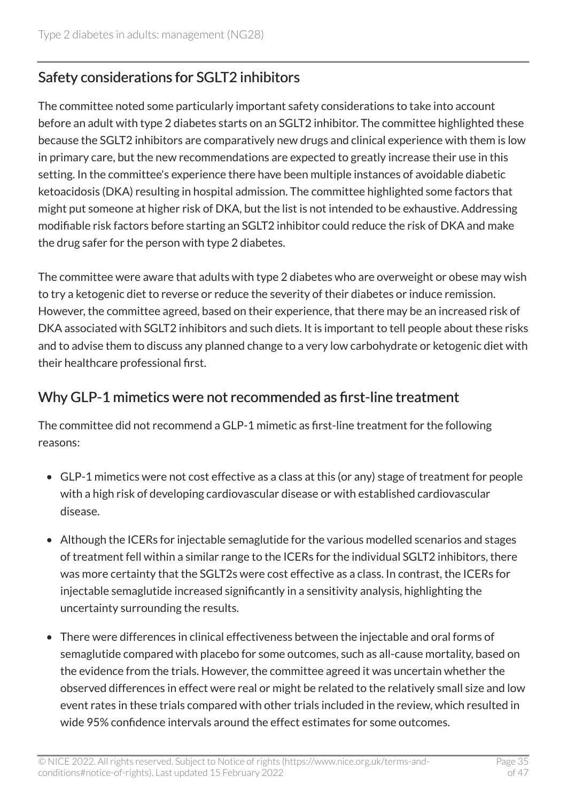#### Safety considerations for SGLT2 inhibitors

The committee noted some particularly important safety considerations to take into account before an adult with type 2 diabetes starts on an SGLT2 inhibitor. The committee highlighted these because the SGLT2 inhibitors are comparatively new drugs and clinical experience with them is low in primary care, but the new recommendations are expected to greatly increase their use in this setting. In the committee's experience there have been multiple instances of avoidable diabetic ketoacidosis (DKA) resulting in hospital admission. The committee highlighted some factors that might put someone at higher risk of DKA, but the list is not intended to be exhaustive. Addressing modifiable risk factors before starting an SGLT2 inhibitor could reduce the risk of DKA and make the drug safer for the person with type 2 diabetes.

The committee were aware that adults with type 2 diabetes who are overweight or obese may wish to try a ketogenic diet to reverse or reduce the severity of their diabetes or induce remission. However, the committee agreed, based on their experience, that there may be an increased risk of DKA associated with SGLT2 inhibitors and such diets. It is important to tell people about these risks and to advise them to discuss any planned change to a very low carbohydrate or ketogenic diet with their healthcare professional first.

#### Why GLP-1 mimetics were not recommended as first-line treatment

The committee did not recommend a GLP-1 mimetic as first-line treatment for the following reasons:

- GLP-1 mimetics were not cost effective as a class at this (or any) stage of treatment for people with a high risk of developing cardiovascular disease or with established cardiovascular disease.
- Although the ICERs for injectable semaglutide for the various modelled scenarios and stages of treatment fell within a similar range to the ICERs for the individual SGLT2 inhibitors, there was more certainty that the SGLT2s were cost effective as a class. In contrast, the ICERs for injectable semaglutide increased significantly in a sensitivity analysis, highlighting the uncertainty surrounding the results.
- There were differences in clinical effectiveness between the injectable and oral forms of semaglutide compared with placebo for some outcomes, such as all-cause mortality, based on the evidence from the trials. However, the committee agreed it was uncertain whether the observed differences in effect were real or might be related to the relatively small size and low event rates in these trials compared with other trials included in the review, which resulted in wide 95% confidence intervals around the effect estimates for some outcomes.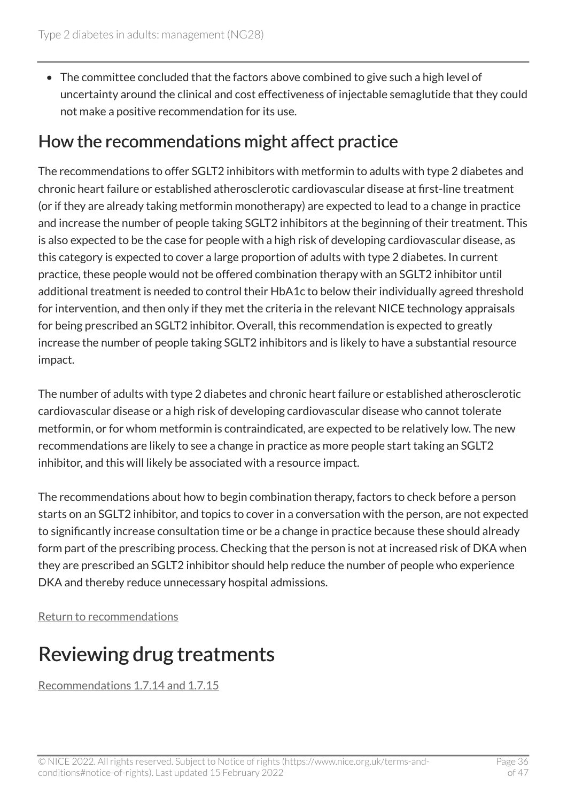• The committee concluded that the factors above combined to give such a high level of uncertainty around the clinical and cost effectiveness of injectable semaglutide that they could not make a positive recommendation for its use.

#### How the recommendations might affect practice

The recommendations to offer SGLT2 inhibitors with metformin to adults with type 2 diabetes and chronic heart failure or established atherosclerotic cardiovascular disease at first-line treatment (or if they are already taking metformin monotherapy) are expected to lead to a change in practice and increase the number of people taking SGLT2 inhibitors at the beginning of their treatment. This is also expected to be the case for people with a high risk of developing cardiovascular disease, as this category is expected to cover a large proportion of adults with type 2 diabetes. In current practice, these people would not be offered combination therapy with an SGLT2 inhibitor until additional treatment is needed to control their HbA1c to below their individually agreed threshold for intervention, and then only if they met the criteria in the relevant NICE technology appraisals for being prescribed an SGLT2 inhibitor. Overall, this recommendation is expected to greatly increase the number of people taking SGLT2 inhibitors and is likely to have a substantial resource impact.

The number of adults with type 2 diabetes and chronic heart failure or established atherosclerotic cardiovascular disease or a high risk of developing cardiovascular disease who cannot tolerate metformin, or for whom metformin is contraindicated, are expected to be relatively low. The new recommendations are likely to see a change in practice as more people start taking an SGLT2 inhibitor, and this will likely be associated with a resource impact.

The recommendations about how to begin combination therapy, factors to check before a person starts on an SGLT2 inhibitor, and topics to cover in a conversation with the person, are not expected to significantly increase consultation time or be a change in practice because these should already form part of the prescribing process. Checking that the person is not at increased risk of DKA when they are prescribed an SGLT2 inhibitor should help reduce the number of people who experience DKA and thereby reduce unnecessary hospital admissions.

[Return to recommendations](#page-13-0)

# <span id="page-35-0"></span>Reviewing drug treatments

[Recommendations 1.7.14 and 1.7.15](#page-15-0)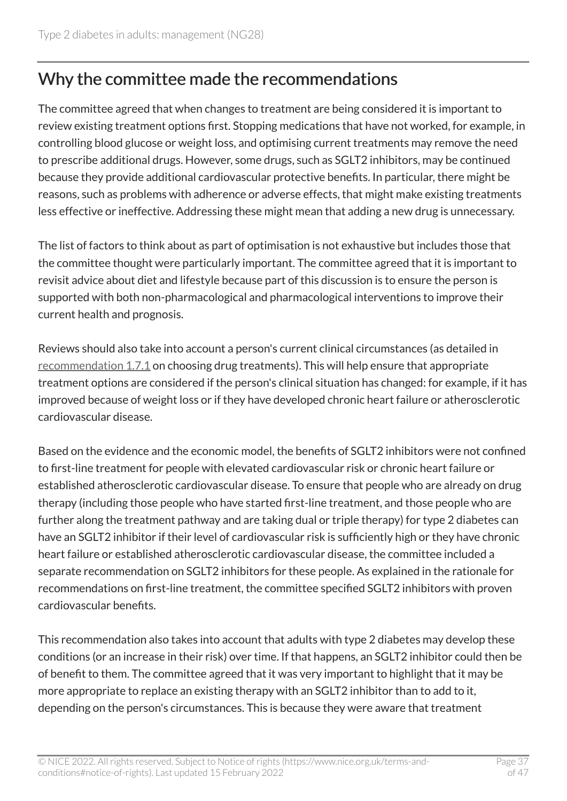### Why the committee made the recommendations

The committee agreed that when changes to treatment are being considered it is important to review existing treatment options first. Stopping medications that have not worked, for example, in controlling blood glucose or weight loss, and optimising current treatments may remove the need to prescribe additional drugs. However, some drugs, such as SGLT2 inhibitors, may be continued because they provide additional cardiovascular protective benefits. In particular, there might be reasons, such as problems with adherence or adverse effects, that might make existing treatments less effective or ineffective. Addressing these might mean that adding a new drug is unnecessary.

The list of factors to think about as part of optimisation is not exhaustive but includes those that the committee thought were particularly important. The committee agreed that it is important to revisit advice about diet and lifestyle because part of this discussion is to ensure the person is supported with both non-pharmacological and pharmacological interventions to improve their current health and prognosis.

Reviews should also take into account a person's current clinical circumstances (as detailed in [recommendation 1.7.1](#page-12-1) on choosing drug treatments). This will help ensure that appropriate treatment options are considered if the person's clinical situation has changed: for example, if it has improved because of weight loss or if they have developed chronic heart failure or atherosclerotic cardiovascular disease.

Based on the evidence and the economic model, the benefits of SGLT2 inhibitors were not confined to first-line treatment for people with elevated cardiovascular risk or chronic heart failure or established atherosclerotic cardiovascular disease. To ensure that people who are already on drug therapy (including those people who have started first-line treatment, and those people who are further along the treatment pathway and are taking dual or triple therapy) for type 2 diabetes can have an SGLT2 inhibitor if their level of cardiovascular risk is sufficiently high or they have chronic heart failure or established atherosclerotic cardiovascular disease, the committee included a separate recommendation on SGLT2 inhibitors for these people. As explained in the rationale for recommendations on first-line treatment, the committee specified SGLT2 inhibitors with proven cardiovascular benefits.

This recommendation also takes into account that adults with type 2 diabetes may develop these conditions (or an increase in their risk) over time. If that happens, an SGLT2 inhibitor could then be of benefit to them. The committee agreed that it was very important to highlight that it may be more appropriate to replace an existing therapy with an SGLT2 inhibitor than to add to it, depending on the person's circumstances. This is because they were aware that treatment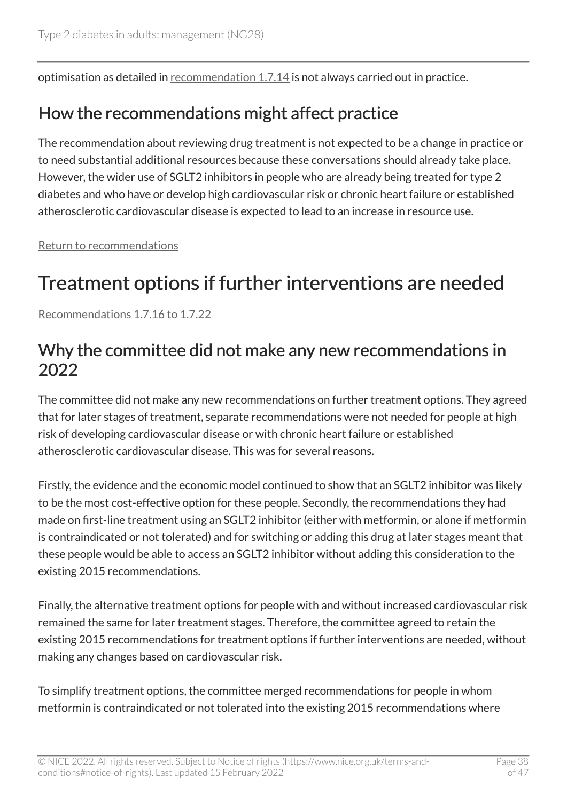optimisation as detailed in [recommendation 1.7.14](#page-15-0) is not always carried out in practice.

#### How the recommendations might affect practice

The recommendation about reviewing drug treatment is not expected to be a change in practice or to need substantial additional resources because these conversations should already take place. However, the wider use of SGLT2 inhibitors in people who are already being treated for type 2 diabetes and who have or develop high cardiovascular risk or chronic heart failure or established atherosclerotic cardiovascular disease is expected to lead to an increase in resource use.

[Return to recommendations](#page-15-0)

## <span id="page-37-0"></span>Treatment options if further interventions are needed

[Recommendations 1.7.16 to 1.7.22](#page-17-0) 

#### Why the committee did not make any new recommendations in 2022

The committee did not make any new recommendations on further treatment options. They agreed that for later stages of treatment, separate recommendations were not needed for people at high risk of developing cardiovascular disease or with chronic heart failure or established atherosclerotic cardiovascular disease. This was for several reasons.

Firstly, the evidence and the economic model continued to show that an SGLT2 inhibitor was likely to be the most cost-effective option for these people. Secondly, the recommendations they had made on first-line treatment using an SGLT2 inhibitor (either with metformin, or alone if metformin is contraindicated or not tolerated) and for switching or adding this drug at later stages meant that these people would be able to access an SGLT2 inhibitor without adding this consideration to the existing 2015 recommendations.

Finally, the alternative treatment options for people with and without increased cardiovascular risk remained the same for later treatment stages. Therefore, the committee agreed to retain the existing 2015 recommendations for treatment options if further interventions are needed, without making any changes based on cardiovascular risk.

To simplify treatment options, the committee merged recommendations for people in whom metformin is contraindicated or not tolerated into the existing 2015 recommendations where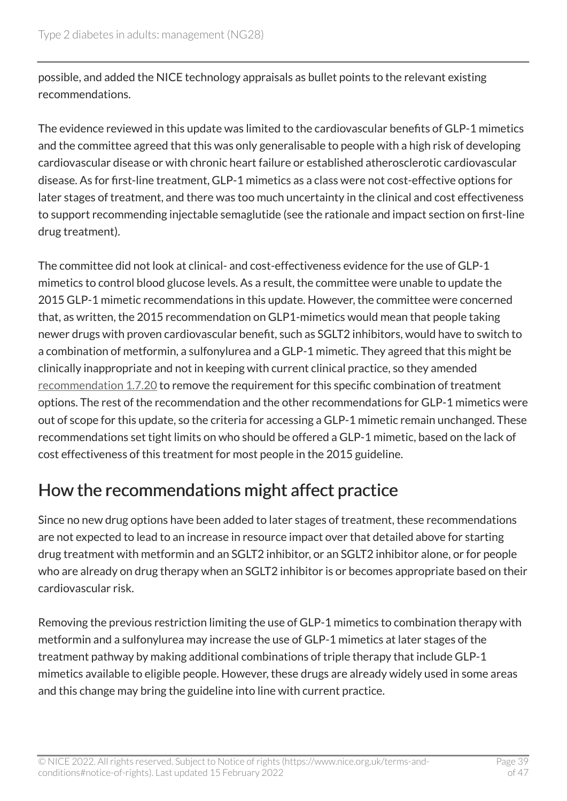possible, and added the NICE technology appraisals as bullet points to the relevant existing recommendations.

The evidence reviewed in this update was limited to the cardiovascular benefits of GLP-1 mimetics and the committee agreed that this was only generalisable to people with a high risk of developing cardiovascular disease or with chronic heart failure or established atherosclerotic cardiovascular disease. As for first-line treatment, GLP-1 mimetics as a class were not cost-effective options for later stages of treatment, and there was too much uncertainty in the clinical and cost effectiveness to support recommending injectable semaglutide (see the rationale and impact section on first-line drug treatment).

The committee did not look at clinical- and cost-effectiveness evidence for the use of GLP-1 mimetics to control blood glucose levels. As a result, the committee were unable to update the 2015 GLP-1 mimetic recommendations in this update. However, the committee were concerned that, as written, the 2015 recommendation on GLP1-mimetics would mean that people taking newer drugs with proven cardiovascular benefit, such as SGLT2 inhibitors, would have to switch to a combination of metformin, a sulfonylurea and a GLP-1 mimetic. They agreed that this might be clinically inappropriate and not in keeping with current clinical practice, so they amended [recommendation 1.7.20](#page-17-0) to remove the requirement for this specific combination of treatment options. The rest of the recommendation and the other recommendations for GLP-1 mimetics were out of scope for this update, so the criteria for accessing a GLP-1 mimetic remain unchanged. These recommendations set tight limits on who should be offered a GLP-1 mimetic, based on the lack of cost effectiveness of this treatment for most people in the 2015 guideline.

#### How the recommendations might affect practice

Since no new drug options have been added to later stages of treatment, these recommendations are not expected to lead to an increase in resource impact over that detailed above for starting drug treatment with metformin and an SGLT2 inhibitor, or an SGLT2 inhibitor alone, or for people who are already on drug therapy when an SGLT2 inhibitor is or becomes appropriate based on their cardiovascular risk.

Removing the previous restriction limiting the use of GLP-1 mimetics to combination therapy with metformin and a sulfonylurea may increase the use of GLP-1 mimetics at later stages of the treatment pathway by making additional combinations of triple therapy that include GLP-1 mimetics available to eligible people. However, these drugs are already widely used in some areas and this change may bring the guideline into line with current practice.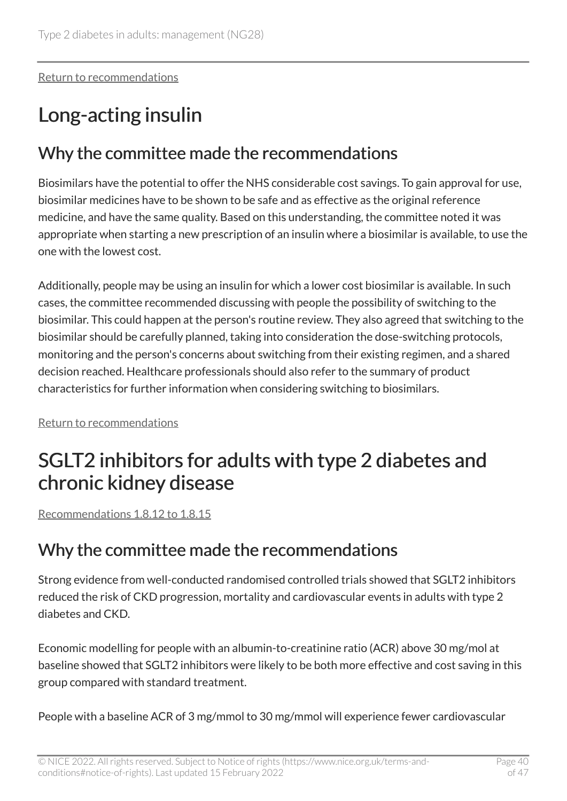[Return to recommendations](#page-17-0)

# <span id="page-39-0"></span>Long-acting insulin

#### Why the committee made the recommendations

Biosimilars have the potential to offer the NHS considerable cost savings. To gain approval for use, biosimilar medicines have to be shown to be safe and as effective as the original reference medicine, and have the same quality. Based on this understanding, the committee noted it was appropriate when starting a new prescription of an insulin where a biosimilar is available, to use the one with the lowest cost.

Additionally, people may be using an insulin for which a lower cost biosimilar is available. In such cases, the committee recommended discussing with people the possibility of switching to the biosimilar. This could happen at the person's routine review. They also agreed that switching to the biosimilar should be carefully planned, taking into consideration the dose-switching protocols, monitoring and the person's concerns about switching from their existing regimen, and a shared decision reached. Healthcare professionals should also refer to the summary of product characteristics for further information when considering switching to biosimilars.

[Return to recommendations](#page-19-0)

## <span id="page-39-1"></span>SGLT2 inhibitors for adults with type 2 diabetes and chronic kidney disease

[Recommendations 1.8.12 to 1.8.15](#page-23-0) 

#### Why the committee made the recommendations

Strong evidence from well-conducted randomised controlled trials showed that SGLT2 inhibitors reduced the risk of CKD progression, mortality and cardiovascular events in adults with type 2 diabetes and CKD.

Economic modelling for people with an albumin-to-creatinine ratio (ACR) above 30 mg/mol at baseline showed that SGLT2 inhibitors were likely to be both more effective and cost saving in this group compared with standard treatment.

People with a baseline ACR of 3 mg/mmol to 30 mg/mmol will experience fewer cardiovascular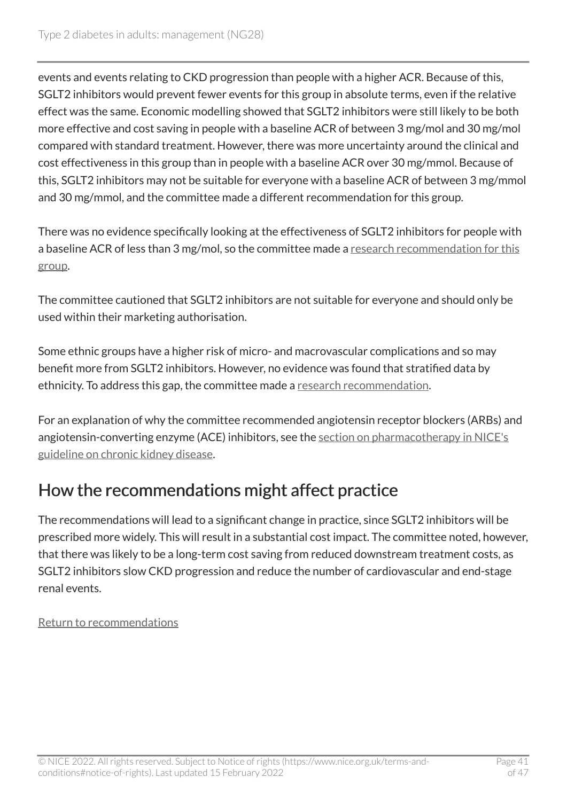events and events relating to CKD progression than people with a higher ACR. Because of this, SGLT2 inhibitors would prevent fewer events for this group in absolute terms, even if the relative effect was the same. Economic modelling showed that SGLT2 inhibitors were still likely to be both more effective and cost saving in people with a baseline ACR of between 3 mg/mol and 30 mg/mol compared with standard treatment. However, there was more uncertainty around the clinical and cost effectiveness in this group than in people with a baseline ACR over 30 mg/mmol. Because of this, SGLT2 inhibitors may not be suitable for everyone with a baseline ACR of between 3 mg/mmol and 30 mg/mmol, and the committee made a different recommendation for this group.

There was no evidence specifically looking at the effectiveness of SGLT2 inhibitors for people with a baseline ACR of less than 3 mg/mol, so the committee made a research recommendation for this [group.](#page-29-1)

The committee cautioned that SGLT2 inhibitors are not suitable for everyone and should only be used within their marketing authorisation.

Some ethnic groups have a higher risk of micro- and macrovascular complications and so may benefit more from SGLT2 inhibitors. However, no evidence was found that stratified data by ethnicity. To address this gap, the committee made a [research recommendation](#page-29-2).

For an explanation of why the committee recommended angiotensin receptor blockers (ARBs) and angiotensin-converting enzyme (ACE) inhibitors, see the [section on pharmacotherapy in NICE's](https://www.nice.org.uk/guidance/ng203/chapter/Recommendations#pharmacotherapy) [guideline on chronic kidney disease.](https://www.nice.org.uk/guidance/ng203/chapter/Recommendations#pharmacotherapy)

### How the recommendations might affect practice

The recommendations will lead to a significant change in practice, since SGLT2 inhibitors will be prescribed more widely. This will result in a substantial cost impact. The committee noted, however, that there was likely to be a long-term cost saving from reduced downstream treatment costs, as SGLT2 inhibitors slow CKD progression and reduce the number of cardiovascular and end-stage renal events.

#### [Return to recommendations](#page-23-0)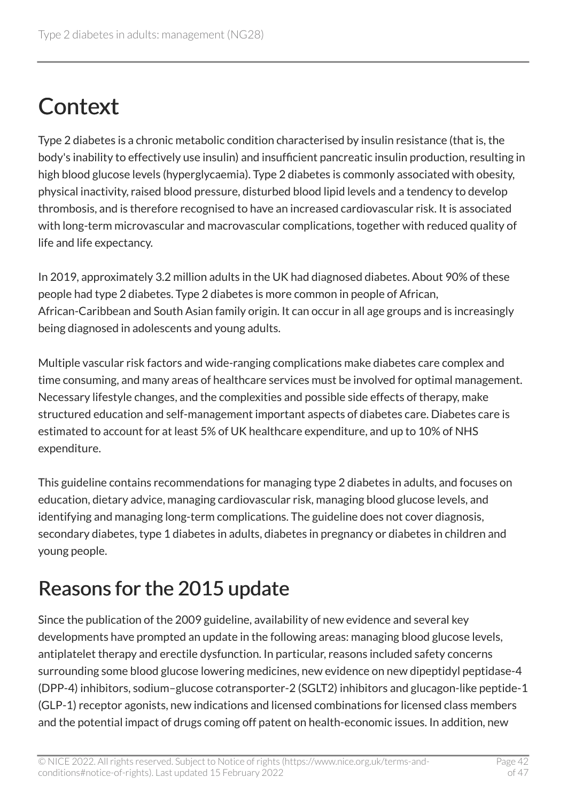# <span id="page-41-0"></span>**Context**

Type 2 diabetes is a chronic metabolic condition characterised by insulin resistance (that is, the body's inability to effectively use insulin) and insufficient pancreatic insulin production, resulting in high blood glucose levels (hyperglycaemia). Type 2 diabetes is commonly associated with obesity, physical inactivity, raised blood pressure, disturbed blood lipid levels and a tendency to develop thrombosis, and is therefore recognised to have an increased cardiovascular risk. It is associated with long-term microvascular and macrovascular complications, together with reduced quality of life and life expectancy.

In 2019, approximately 3.2 million adults in the UK had diagnosed diabetes. About 90% of these people had type 2 diabetes. Type 2 diabetes is more common in people of African, African-Caribbean and South Asian family origin. It can occur in all age groups and is increasingly being diagnosed in adolescents and young adults.

Multiple vascular risk factors and wide-ranging complications make diabetes care complex and time consuming, and many areas of healthcare services must be involved for optimal management. Necessary lifestyle changes, and the complexities and possible side effects of therapy, make structured education and self-management important aspects of diabetes care. Diabetes care is estimated to account for at least 5% of UK healthcare expenditure, and up to 10% of NHS expenditure.

This guideline contains recommendations for managing type 2 diabetes in adults, and focuses on education, dietary advice, managing cardiovascular risk, managing blood glucose levels, and identifying and managing long-term complications. The guideline does not cover diagnosis, secondary diabetes, type 1 diabetes in adults, diabetes in pregnancy or diabetes in children and young people.

## <span id="page-41-1"></span>Reasons for the 2015 update

Since the publication of the 2009 guideline, availability of new evidence and several key developments have prompted an update in the following areas: managing blood glucose levels, antiplatelet therapy and erectile dysfunction. In particular, reasons included safety concerns surrounding some blood glucose lowering medicines, new evidence on new dipeptidyl peptidase-4 (DPP-4) inhibitors, sodium–glucose cotransporter-2 (SGLT2) inhibitors and glucagon-like peptide-1 (GLP-1) receptor agonists, new indications and licensed combinations for licensed class members and the potential impact of drugs coming off patent on health-economic issues. In addition, new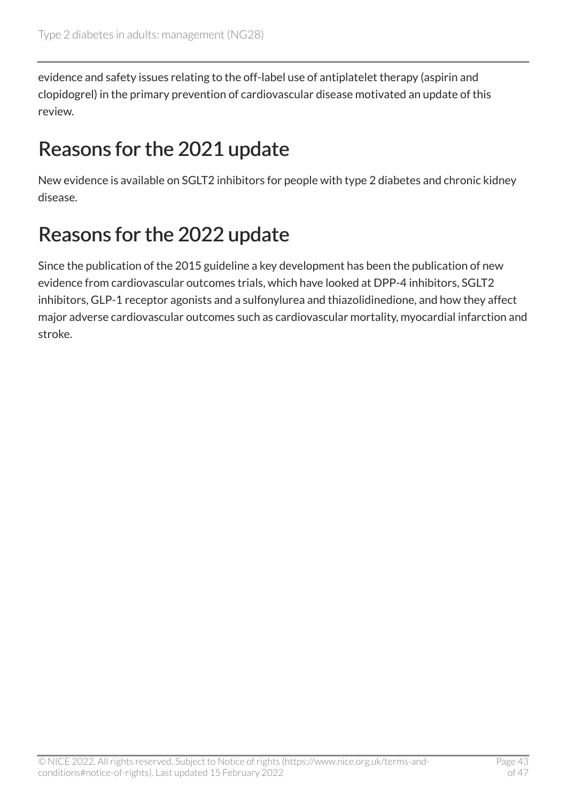evidence and safety issues relating to the off-label use of antiplatelet therapy (aspirin and clopidogrel) in the primary prevention of cardiovascular disease motivated an update of this review.

# <span id="page-42-0"></span>Reasons for the 2021 update

New evidence is available on SGLT2 inhibitors for people with type 2 diabetes and chronic kidney disease.

# <span id="page-42-1"></span>Reasons for the 2022 update

Since the publication of the 2015 guideline a key development has been the publication of new evidence from cardiovascular outcomes trials, which have looked at DPP-4 inhibitors, SGLT2 inhibitors, GLP-1 receptor agonists and a sulfonylurea and thiazolidinedione, and how they affect major adverse cardiovascular outcomes such as cardiovascular mortality, myocardial infarction and stroke.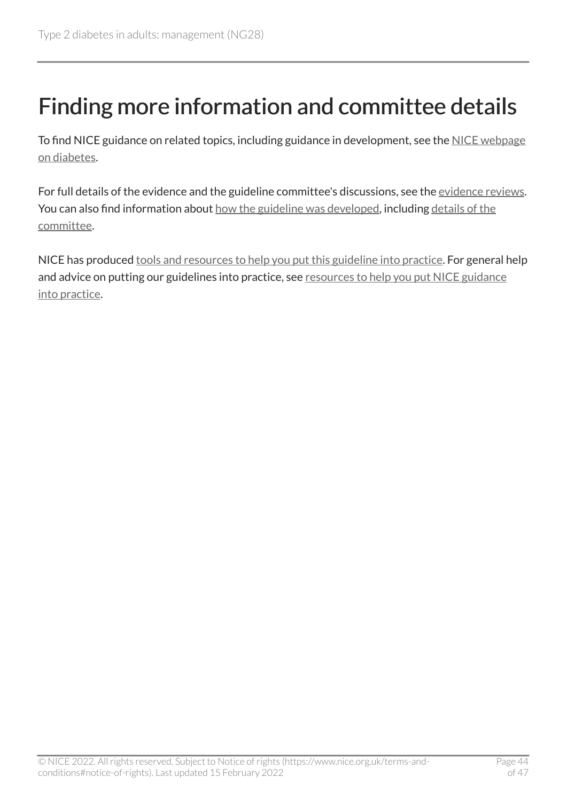# <span id="page-43-0"></span>Finding more information and committee details

To find NICE guidance on related topics, including guidance in development, see the [NICE webpage](https://www.nice.org.uk/guidance/conditions-and-diseases/diabetes-and-other-endocrinal--nutritional-and-metabolic-conditions/diabetes) [on diabetes](https://www.nice.org.uk/guidance/conditions-and-diseases/diabetes-and-other-endocrinal--nutritional-and-metabolic-conditions/diabetes).

For full details of the evidence and the guideline committee's discussions, see the [evidence reviews.](https://www.nice.org.uk/Guidance/NG28/evidence) You can also find information about [how the guideline was developed](https://www.nice.org.uk/Guidance/NG28/documents), including details of the [committee.](https://www.nice.org.uk/guidance/ng28/update/ng28-update-2/documents/committee-member-list)

NICE has produced [tools and resources to help you put this guideline into practice.](https://www.nice.org.uk/guidance/ng28/resources) For general help and advice on putting our guidelines into practice, see [resources to help you put NICE guidance](https://www.nice.org.uk/about/what-we-do/into-practice/resources-help-put-guidance-into-practice) [into practice.](https://www.nice.org.uk/about/what-we-do/into-practice/resources-help-put-guidance-into-practice)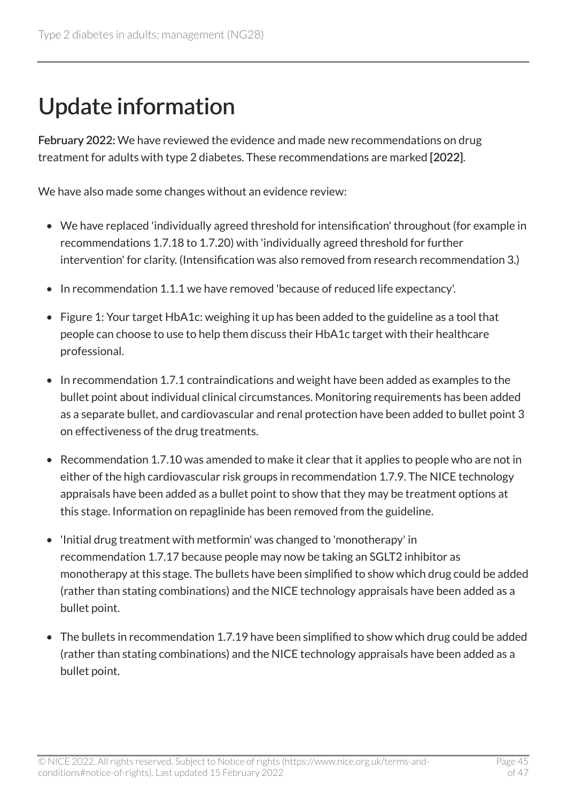# <span id="page-44-0"></span>Update information

February 2022: We have reviewed the evidence and made new recommendations on drug treatment for adults with type 2 diabetes. These recommendations are marked [2022].

We have also made some changes without an evidence review:

- We have replaced 'individually agreed threshold for intensification' throughout (for example in recommendations 1.7.18 to 1.7.20) with 'individually agreed threshold for further intervention' for clarity. (Intensification was also removed from research recommendation 3.)
- In recommendation 1.1.1 we have removed 'because of reduced life expectancy'.
- Figure 1: Your target HbA1c: weighing it up has been added to the guideline as a tool that people can choose to use to help them discuss their HbA1c target with their healthcare professional.
- In recommendation 1.7.1 contraindications and weight have been added as examples to the bullet point about individual clinical circumstances. Monitoring requirements has been added as a separate bullet, and cardiovascular and renal protection have been added to bullet point 3 on effectiveness of the drug treatments.
- Recommendation 1.7.10 was amended to make it clear that it applies to people who are not in either of the high cardiovascular risk groups in recommendation 1.7.9. The NICE technology appraisals have been added as a bullet point to show that they may be treatment options at this stage. Information on repaglinide has been removed from the guideline.
- 'Initial drug treatment with metformin' was changed to 'monotherapy' in recommendation 1.7.17 because people may now be taking an SGLT2 inhibitor as monotherapy at this stage. The bullets have been simplified to show which drug could be added (rather than stating combinations) and the NICE technology appraisals have been added as a bullet point.
- The bullets in recommendation 1.7.19 have been simplified to show which drug could be added (rather than stating combinations) and the NICE technology appraisals have been added as a bullet point.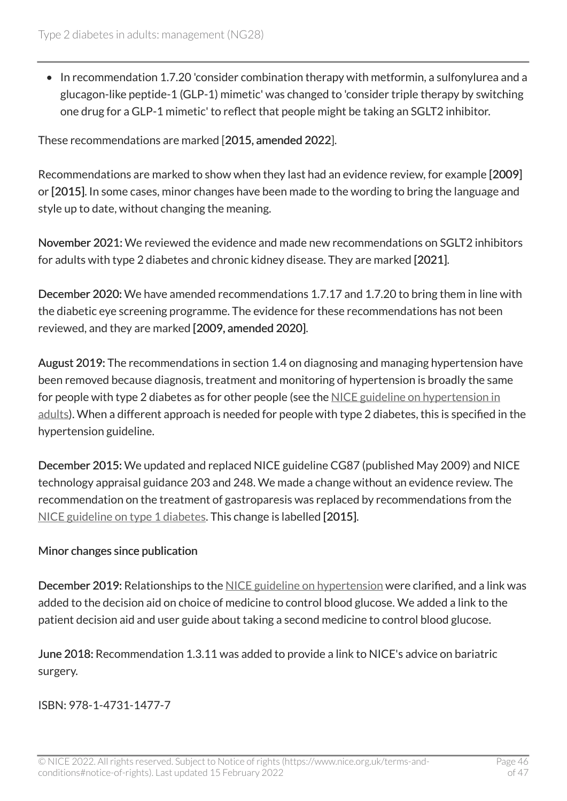• In recommendation 1.7.20 'consider combination therapy with metformin, a sulfonylurea and a glucagon-like peptide-1 (GLP-1) mimetic' was changed to 'consider triple therapy by switching one drug for a GLP-1 mimetic' to reflect that people might be taking an SGLT2 inhibitor.

These recommendations are marked [2015, amended 2022].

Recommendations are marked to show when they last had an evidence review, for example [2009] or [2015]. In some cases, minor changes have been made to the wording to bring the language and style up to date, without changing the meaning.

November 2021: We reviewed the evidence and made new recommendations on SGLT2 inhibitors for adults with type 2 diabetes and chronic kidney disease. They are marked [2021].

December 2020: We have amended recommendations 1.7.17 and 1.7.20 to bring them in line with the diabetic eye screening programme. The evidence for these recommendations has not been reviewed, and they are marked [2009, amended 2020].

August 2019: The recommendations in section 1.4 on diagnosing and managing hypertension have been removed because diagnosis, treatment and monitoring of hypertension is broadly the same for people with type 2 diabetes as for other people (see the NICE guideline on hypertension in [adults](https://www.nice.org.uk/guidance/ng136)). When a different approach is needed for people with type 2 diabetes, this is specified in the hypertension guideline.

December 2015: We updated and replaced NICE guideline CG87 (published May 2009) and NICE technology appraisal guidance 203 and 248. We made a change without an evidence review. The recommendation on the treatment of gastroparesis was replaced by recommendations from the [NICE guideline on type](https://www.nice.org.uk/guidance/ng17) 1 diabetes. This change is labelled [2015].

#### Minor changes since publication

December 2019: Relationships to the [NICE guideline on hypertension](https://www.nice.org.uk/guidance/ng136) were clarified, and a link was added to the decision aid on choice of medicine to control blood glucose. We added a link to the patient decision aid and user guide about taking a second medicine to control blood glucose.

June 2018: Recommendation 1.3.11 was added to provide a link to NICE's advice on bariatric surgery.

ISBN: 978-1-4731-1477-7